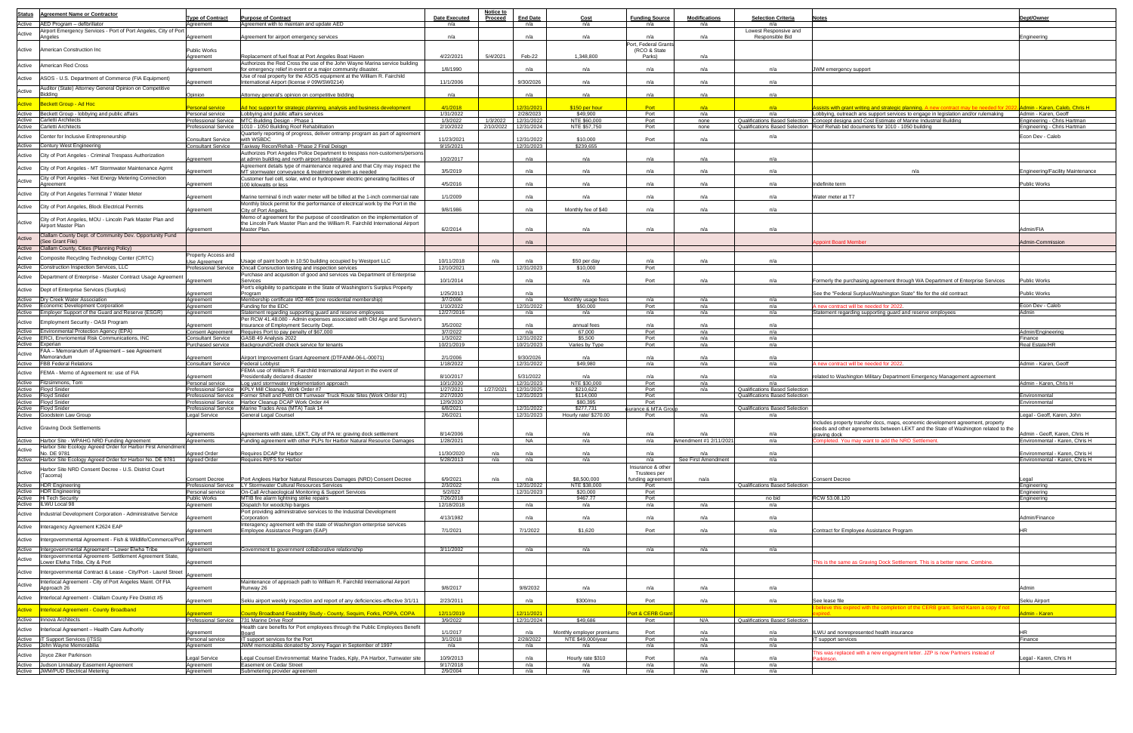| <b>Status</b>    | <b>Agreement Name or Contractor</b>                                                  |                                            |                                                                                                                                       |                         | <u>Notice to</u>      |                          |                              |                              |                             |                                  |                                                                                                                                                                       |                                                                  |
|------------------|--------------------------------------------------------------------------------------|--------------------------------------------|---------------------------------------------------------------------------------------------------------------------------------------|-------------------------|-----------------------|--------------------------|------------------------------|------------------------------|-----------------------------|----------------------------------|-----------------------------------------------------------------------------------------------------------------------------------------------------------------------|------------------------------------------------------------------|
| Active           | AED Program - defibrillator                                                          | <b>Type of Contract</b><br>Agreement       | <b>Purpose of Contract</b><br>Agreement with to maintain and update AED                                                               | Date Executed<br>n/a    | <b>Proceed</b>        | <b>End Date</b><br>n/a   | <b>Cost</b><br>n/a           | <u>Funding Source</u><br>n/a | <b>Modifications</b><br>n/a | <b>Selection Criteria</b><br>n/a |                                                                                                                                                                       | <u>0ept/Owne</u>                                                 |
|                  | Airport Emergency Services - Port of Port Angeles, City of Port                      |                                            |                                                                                                                                       |                         |                       |                          |                              |                              |                             | Lowest Responsive and            |                                                                                                                                                                       |                                                                  |
| Active           | Angeles                                                                              | Agreement                                  | greement for airport emergency services                                                                                               | n/a                     |                       | n/a                      | n/a                          | n/a                          | n/a                         | Responsible Bid                  |                                                                                                                                                                       | ngineering:                                                      |
|                  |                                                                                      |                                            |                                                                                                                                       |                         |                       |                          |                              | Port, Federal Grants         |                             |                                  |                                                                                                                                                                       |                                                                  |
| Active           | American Construction Inc                                                            | <b>Public Works</b>                        | Replacement of fuel float at Port Angeles Boat Haven                                                                                  | 4/22/2021               | 5/4/2021              | Feb-22                   | 1.348.800                    | (RCO & State                 | n/a                         |                                  |                                                                                                                                                                       |                                                                  |
|                  |                                                                                      | greement                                   | Authorizes the Red Cross the use of the John Wayne Marina service building                                                            |                         |                       |                          |                              | Parks)                       |                             |                                  |                                                                                                                                                                       |                                                                  |
| Active           | American Red Cross                                                                   | Agreement                                  | or emergency relief in event or a major community disaster.                                                                           | 1/8/1990                |                       | n/a                      | n/a                          | n/a                          | n/a                         | n/a                              | WM emergency support                                                                                                                                                  |                                                                  |
| Active           | ASOS - U.S. Department of Commerce (FIA Equipment)                                   |                                            | Use of real property for the ASOS equipment at the William R. Fairchild                                                               |                         |                       |                          |                              |                              |                             |                                  |                                                                                                                                                                       |                                                                  |
|                  |                                                                                      | Agreement                                  | nternational Airport (license # 09WSW0214)                                                                                            | 11/1/2006               |                       | 9/30/2026                | n/a                          | n/a                          | n/a                         | n/a                              |                                                                                                                                                                       |                                                                  |
| Active           | Auditor (State) Attorney General Opinion on Competitive<br><b>Bidding</b>            | Opinion                                    | Attorney general's opinion on competitive bidding                                                                                     | n/a                     |                       | n/a                      | n/a                          | n/a                          | n/a                         | n/a                              |                                                                                                                                                                       |                                                                  |
|                  |                                                                                      |                                            |                                                                                                                                       |                         |                       |                          |                              |                              |                             |                                  |                                                                                                                                                                       |                                                                  |
| Active           | <b>Beckett Group - Ad Hoc</b>                                                        | Personal service                           | Ad hoc support for strategic planning, analysis and business development                                                              | 4/1/2018                |                       | 12/31/202                | \$150 per hou                | Port                         | n/a                         | n/a                              | ssists with grant writing and strategic planning. A new contract may be needed for 2                                                                                  | Admin - Karen, Caleb, Chris H                                    |
| Active           | Beckett Group - lobbying and public affairs                                          | ersonal service                            | Lobbying and public affairs services                                                                                                  | 1/31/2022               |                       | 2/28/2023                | \$49,900                     | Port                         | n/a                         | n/a                              | obbying, outreach ans support services to engage in legislation and/or rulemaking                                                                                     | Admin - Karen, Geoff                                             |
| Active<br>Active | Carletti Architects                                                                  | Professional Service                       | MTC Building Design - Phase 1                                                                                                         | 1/3/2022                | 1/3/2022<br>2/10/2022 | 12/31/2022<br>12/31/2024 | NTE \$60,000<br>NTE \$57,750 | Port<br>Port                 | none                        |                                  | Qualifications Based Selection Concept designa and Cost Estimate of Marine Industrial Building                                                                        | Ingineering - Chris Hartman                                      |
|                  | Carletti Architects                                                                  | Professional Service                       | 1010 - 1050 Building Roof Rehabilitation<br>Quarterly reporting of progress, deliver ontramp program as part of agreement             | 2/10/2022               |                       |                          |                              |                              | none                        |                                  | Qualifications Based Selection Roof Rehab bid documents for 1010 - 1050 building                                                                                      | Engineering - Chris Hartman                                      |
| Active           | Center for Inclusive Entrepreneurship                                                | Consultant Service                         | with WSBDC                                                                                                                            | 11/23/2021              |                       | 12/31/2022               | \$10,000                     | Port                         | n/a                         | n/a                              |                                                                                                                                                                       | Econ Dev - Caleb                                                 |
| Active           | Century West Engineering                                                             | Consultant Service                         | axiway Recon/Rehab - Phase 2 Final Deisgn                                                                                             | 9/15/2021               |                       | 12/31/2023               | \$239,655                    |                              |                             |                                  |                                                                                                                                                                       |                                                                  |
| Active           | City of Port Angeles - Criminal Trespass Authorization                               |                                            | Authorizes Port Angeles Police Department to trespass non-customers/person                                                            |                         |                       |                          |                              |                              |                             |                                  |                                                                                                                                                                       |                                                                  |
|                  |                                                                                      | Agreement                                  | t admin building and north airport industrial park                                                                                    | 10/2/2017               |                       | n/a                      | n/a                          | n/a                          | n/a                         | n/a                              |                                                                                                                                                                       |                                                                  |
| Active           | City of Port Angeles - MT Stormwater Maintenance Agrmt                               | Agreement                                  | Agreement details type of maintenance required and that City may inspect the<br>MT stormwater conveyance & treatment system as needed | 3/5/2019                |                       | n/a                      | n/a                          | n/a                          | n/a                         | n/a                              |                                                                                                                                                                       | ingineering/Facility Maintenance                                 |
|                  | City of Port Angeles - Net Energy Metering Connection                                |                                            | Customer fuel cell, solar, wind or hydropower electric generating facilities of                                                       |                         |                       |                          |                              |                              |                             |                                  |                                                                                                                                                                       |                                                                  |
| Active           | <b>\greement</b>                                                                     | Agreement                                  | 00 kilowatts or less                                                                                                                  | 4/5/2016                |                       | n/a                      | n/a                          | n/a                          | n/a                         | n/a                              | ndefinite term                                                                                                                                                        | <sup>9</sup> ublic Works                                         |
| Active           | City of Port Angeles Terminal 7 Water Meter                                          |                                            |                                                                                                                                       |                         |                       |                          |                              |                              |                             |                                  |                                                                                                                                                                       |                                                                  |
|                  |                                                                                      | Agreement                                  | Marine terminal 6 inch water meter will be billed at the 1-inch commercial rate                                                       | 1/1/2009                |                       | n/a                      | n/a                          | n/a                          | n/a                         | n/a                              | Water meter at T7                                                                                                                                                     |                                                                  |
| Active           | City of Port Angeles, Block Electrical Permits                                       | Agreement                                  | Monthly block permit for the performance of electrical work by the Port in the<br>City of Port Angeles                                | 9/8/1986                |                       | n/a                      | Monthly fee of \$40          | n/a                          | n/a                         | n/a                              |                                                                                                                                                                       |                                                                  |
|                  |                                                                                      |                                            | Memo of agreement for the purpose of coordination on the implementation of                                                            |                         |                       |                          |                              |                              |                             |                                  |                                                                                                                                                                       |                                                                  |
| Active           | City of Port Angeles, MOU - Lincoln Park Master Plan and                             |                                            | the Lincoln Park Master Plan and the William R. Fairchild International Airport                                                       |                         |                       |                          |                              |                              |                             |                                  |                                                                                                                                                                       |                                                                  |
|                  | Airport Master Plan                                                                  | Agreement                                  | Master Plan.                                                                                                                          | 6/2/2014                |                       | n/a                      | n/a                          | n/a                          | n/a                         | n/a                              |                                                                                                                                                                       | Admin/FIA                                                        |
| Active           | Clallam County Dept. of Community Dev. Opportunity Fund                              |                                            |                                                                                                                                       |                         |                       |                          |                              |                              |                             |                                  |                                                                                                                                                                       |                                                                  |
| Active           | See Grant File)                                                                      |                                            |                                                                                                                                       |                         |                       | n/a                      |                              |                              |                             |                                  | <b>Dint Board Member</b>                                                                                                                                              | <u> Admin-Commission</u>                                         |
|                  | Clallam County, Cities (Planning Policy)                                             | roperty Access and                         |                                                                                                                                       |                         |                       |                          |                              |                              |                             |                                  |                                                                                                                                                                       |                                                                  |
| Active           | Composite Recycling Technology Center (CRTC)                                         | Jse Agreement                              | Isage of paint booth in 10:50 building occupied by Westport LLC                                                                       | 10/11/2018              | n/a                   | n/a                      | \$50 per day                 | n/a                          | n/a                         | n/a                              |                                                                                                                                                                       |                                                                  |
| Active           | Construction Inspection Services, LLC                                                | Professional Service                       | Oncall Consruction testing and inspection services                                                                                    | 12/10/2021              |                       | 12/31/2023               | \$10,000                     | Port                         |                             |                                  |                                                                                                                                                                       |                                                                  |
| Active           | Department of Enterprise - Master Contract Usage Agreement                           |                                            | Purchase and acquisition of good and services via Department of Enterprise                                                            |                         |                       |                          |                              |                              |                             |                                  |                                                                                                                                                                       |                                                                  |
|                  |                                                                                      | Agreement                                  |                                                                                                                                       | 10/1/2014               |                       | n/a                      | n/a                          | Port                         | n/a                         | n/a                              | Formerly the purchasing agreement through WA Department of Enterprise Services                                                                                        | <b>Public Works</b>                                              |
| Active           | Dept of Enterprise Services (Surplus)                                                | Agreement                                  | Port's eligibility to participate in the State of Washington's Surplus Property<br>rogram                                             | 1/25/2013               |                       | n/a                      |                              |                              |                             |                                  | See the "Federal Surplus/Washington State" file for the old contract                                                                                                  | Public Works                                                     |
| Active           | Dry Creek Water Association                                                          | Agreement                                  | Membership certificate #02-465 (one residential membership)                                                                           | 3/7/2006                |                       | n/a                      | Monthly usage fees           | n/a                          | n/a                         | n/a                              |                                                                                                                                                                       |                                                                  |
| Active           | Economic Development Corporation                                                     | Agreement                                  | unding for the EDC                                                                                                                    | 1/10/2022               |                       | 12/31/2022               | \$50,000                     | Port                         | n/a                         | n/a                              | new contract will be needed for 2022.                                                                                                                                 | con Dev - Caleb                                                  |
| Active           | Employer Support of the Guard and Reserve (ESGR)                                     | Agreement                                  | Statement regarding supporting guard and reserve employees                                                                            | 12/27/2016              |                       | n/a                      | n/a                          | n/a                          | n/a                         | n/a                              | Statement regarding supporting guard and reserve employees                                                                                                            | Admin                                                            |
| Active           | Employment Security - OASI Program                                                   |                                            | Per RCW 41.48.080 - Admin expenses associated with Old Age and Survivor's                                                             |                         |                       |                          |                              |                              |                             |                                  |                                                                                                                                                                       |                                                                  |
|                  |                                                                                      | <b>greement</b>                            | <b>Insurance of Employment Security Dept</b>                                                                                          | 3/5/2002                |                       | n/a                      | <u>annual fees</u>           |                              | n/a                         | n/a                              |                                                                                                                                                                       |                                                                  |
| Active<br>Active | Environmental Protection Agency (EPA)<br>ERCI, Envriomental Risk Communications, INC | Consent Agreement<br>Consultant Service    | Requires Port to pay penalty of \$67,000<br>GASB 49 Analysis 2022                                                                     | 3/7/2022<br>1/3/2022    |                       | n/a<br>12/31/2022        | 67,000<br>\$5,500            | Port<br>Port                 | n/a<br>n/a                  | n/a<br>n/a                       |                                                                                                                                                                       | Admin/Engineering<br>Finance                                     |
| Active           | Experian                                                                             | Purchased service                          | Background/Credit check service for tenants                                                                                           | 10/21/2019              |                       | 10/21/2023               | Varies by Type               | Port                         | n/a                         | n/a                              |                                                                                                                                                                       | Real Estate/HR                                                   |
|                  | -AA - Memorandum of Agreement - see Agreement                                        |                                            |                                                                                                                                       |                         |                       |                          |                              |                              |                             |                                  |                                                                                                                                                                       |                                                                  |
| Active           | Memorandum                                                                           | Agreement                                  | Airport Improvement Grant Agreement (DTFANM-06-L-00071)                                                                               | 2/1/2006                |                       | 9/30/2026                | n/a                          | n/a                          | n/a                         | n/a                              |                                                                                                                                                                       |                                                                  |
| Active           | <b>FBB Federal Relations</b>                                                         | <b>Consultant Service</b>                  | <b>Federal Lobbyist</b>                                                                                                               | 1/18/2022               |                       | 12/31/2022               | \$49.980                     | n/a                          | n/a                         | n/a                              | new contract will be needed for 2022                                                                                                                                  | Admin - Karen, Geoff                                             |
| Active           | FEMA - Memo of Agreement re: use of FIA                                              |                                            | FEMA use of William R. Fairchild International Airport in the event of<br>residentially declared disaster                             | 8/10/2017               |                       | 5/31/2022                | n/a                          | n/a                          | n/a                         | n/a                              |                                                                                                                                                                       |                                                                  |
| Active           | Fitzsimmons, Tom                                                                     | Agreement<br>Personal service              | og yard stormwater implementation approach                                                                                            | 10/1/2020               |                       | 12/31/2023               | NTE \$30,000                 | Port                         | n/a                         | n/a                              | lated to Washington Military Department Emergency Management agreement                                                                                                | Admin - Karen, Chris H                                           |
| Active           | <b>Floyd Snider</b>                                                                  | rofessional Service                        | KPLY Mill Cleanup, Work Order #7                                                                                                      | 1/27/2021               |                       | 1/27/2021 12/31/2025     | \$210,622                    | Port                         | n/a                         | Qualifications Based Selection   |                                                                                                                                                                       |                                                                  |
| Active           | Floyd Snider                                                                         | rofessional Service                        | Former Shell and Pettit Oil Tumwaer Truck Route Sites (Work Order #1)                                                                 | 2/27/2020               |                       | 12/31/2023               | \$114,000                    | Port                         |                             | Qualifications Based Selection   |                                                                                                                                                                       | :nvironmental                                                    |
| Active           | <b>Floyd Snider</b>                                                                  | rofessional Service                        | Harbor Cleanup DCAP Work Order #4                                                                                                     | 12/9/2020               |                       |                          | \$80,395                     | Port                         |                             |                                  |                                                                                                                                                                       | nvironmental:                                                    |
| Active<br>Active | Floyd Snider                                                                         | ofessional Service                         | Aarine Trades Area (MTA) Task 14                                                                                                      | 6/8/2021                |                       | 12/31/2022               | \$277,731                    | urance & MTA Gro             |                             | Qualifications Based Selection   |                                                                                                                                                                       |                                                                  |
|                  | Goodstein Law Group                                                                  | egal Service.                              | General Legal Counsel                                                                                                                 | 2/6/2021                |                       | 12/31/2023               | Hourly rate/ \$270.00        | Port                         | n/a                         | n/a                              |                                                                                                                                                                       | Legal - Geoff, Karen, John                                       |
| Active           | <b>Graving Dock Settlements</b>                                                      |                                            |                                                                                                                                       |                         |                       |                          |                              |                              |                             |                                  | Includes property transfer docs, maps, economic development agreement, property<br>deeds and other agreements between LEKT and the State of Washington related to the |                                                                  |
|                  |                                                                                      | Agreements                                 | Agreements with state, LEKT, City of PA re: graving dock settlement                                                                   | 8/14/2006               |                       | n/a                      | n/a                          | n/a                          | n/a                         | n/a                              | raving dock                                                                                                                                                           | Admin - Geoff, Karen, Chris H                                    |
| Active           | Harbor Site - WPAHG NRD Funding Agreement                                            | Agreements                                 | Funding agreement with other PLPs for Harbor Natural Resource Damages                                                                 | 1/28/2021               |                       | NA                       | n/a                          | n/a                          | Amendment #1 2/11/202       | n/a                              | ipleted. You may want to add the NRD Settlement.                                                                                                                      | Environmental - Karen, Chris H                                   |
| Active           | Harbor Site Ecology Agreed Order for Harbor First Amendmer                           |                                            |                                                                                                                                       |                         |                       |                          |                              |                              |                             |                                  |                                                                                                                                                                       |                                                                  |
| Active           | No. DE 9781<br>Harbor Site Ecology Agreed Order for Harbor No. DE 9781               | <b>Agreed Order</b><br><b>Agreed Order</b> | Requires DCAP for Harbor<br>Requires RI/FS for Harbor                                                                                 | 11/30/2020<br>5/28/2013 | n/a<br>n/a            | n/a<br>n/a               | n/a<br>n/a                   | n/a<br>n/a                   | n/a<br>See First Amendment  | n/a                              |                                                                                                                                                                       | Environmental - Karen, Chris H<br>Environmental - Karen, Chris H |
|                  |                                                                                      |                                            |                                                                                                                                       |                         |                       |                          |                              | Insurance & other            |                             | n/a                              |                                                                                                                                                                       |                                                                  |
| Active           | Harbor Site NRD Consent Decree - U.S. District Court                                 |                                            |                                                                                                                                       |                         |                       |                          |                              | Trustees per                 |                             |                                  |                                                                                                                                                                       |                                                                  |
|                  | (Tacoma)                                                                             | <b>Consent Decree</b>                      | Port Anglees Harbor Natural Resources Damages (NRD) Consent Decree                                                                    | 6/9/2021                | n/a                   | n/a                      | \$8,500,000                  | unding agreemen              | na/a                        | n/a                              | Consent Decree                                                                                                                                                        | egal                                                             |
| Active           | <b>HDR</b> Engineering                                                               | Professional Service                       | Y Stormwater Cultural Resources Services                                                                                              | 2/3/2022                |                       | 12/31/2022               | NTE \$38,000                 | Port                         |                             | Qualifications Based Selection   |                                                                                                                                                                       | Engineering                                                      |
| Active<br>Active | <b>HDR</b> Engineering                                                               | ersonal service                            | On-Call Archaeological Monitoring & Support Services<br>MTIB fire alarm lightning strike repairs                                      | 5/2/022                 |                       | 12/31/2023               | \$20,000<br>9467.77          | Port<br>Port                 |                             |                                  | <b>CW 53.08.120</b>                                                                                                                                                   | Engineering                                                      |
| Active           | Hi Tech Security<br>ILWU Local 98                                                    | Public Works<br>Agreement                  | Dispatch for woodchip barges                                                                                                          | 7/26/2018<br>12/18/2018 |                       | n/a                      | n/a                          | n/a                          | n/a                         | no bid<br>n/a                    |                                                                                                                                                                       | Engineering                                                      |
|                  |                                                                                      |                                            | Port providing administrative services to the Industrial Development                                                                  |                         |                       |                          |                              |                              |                             |                                  |                                                                                                                                                                       |                                                                  |
| Active           | Industrial Development Corporation - Administrative Service                          | Agreement                                  | Corporation                                                                                                                           | 4/13/1982               |                       | n/a                      | n/a                          | n/a                          | n/a                         | n/a                              |                                                                                                                                                                       | Admin/Finance                                                    |
| Active           | Interagency Agreement K2624 EAP                                                      |                                            | nteragency agreement with the state of Washington enterprise services                                                                 |                         |                       |                          |                              |                              |                             |                                  |                                                                                                                                                                       |                                                                  |
|                  |                                                                                      | Agreement                                  | mployee Assistance Program (EAP)                                                                                                      | 7/1/2021                |                       | 7/1/2022                 | \$1,620                      | Port                         | n/a                         | n/a                              | Contract for Employee Assistance Program                                                                                                                              |                                                                  |
| Active           | ntergovernmental Agreement - Fish & Wildlife/Commerce/Por                            | Agreement                                  |                                                                                                                                       |                         |                       |                          |                              |                              |                             |                                  |                                                                                                                                                                       |                                                                  |
| Active           | Intergovernmental Agreement - Lower Elwha Tribe                                      | Agreement                                  | Government to government collaborative relationship                                                                                   | 3/11/2002               |                       | n/a                      | n/a                          | n/a                          | n/a                         | n/a                              |                                                                                                                                                                       |                                                                  |
| Active           | ntergovernmental Agreement- Settlement Agreement State,                              |                                            |                                                                                                                                       |                         |                       |                          |                              |                              |                             |                                  |                                                                                                                                                                       |                                                                  |
|                  | ower Elwha Tribe, City & Port                                                        | Agreement                                  |                                                                                                                                       |                         |                       |                          |                              |                              |                             |                                  | his is the same as Graving Dock Settlement. This is a better name. Combine.                                                                                           |                                                                  |
| Active           | ntergovernmental Contract & Lease - City/Port - Laurel Street                        |                                            |                                                                                                                                       |                         |                       |                          |                              |                              |                             |                                  |                                                                                                                                                                       |                                                                  |
|                  | nterlocal Agreement - City of Port Angeles Maint. Of FIA                             | <b>greement</b>                            | Maintenance of approach path to William R. Fairchild International Airport                                                            |                         |                       |                          |                              |                              |                             |                                  |                                                                                                                                                                       |                                                                  |
| Active           | Approach 26                                                                          | Agreement                                  | Runway 26                                                                                                                             | 9/8/2017                |                       | 9/8/2032                 | n/a                          | n/a                          | n/a                         | n/a                              |                                                                                                                                                                       | Admin                                                            |
|                  | nterlocal Agreement - Clallam County Fire District #5                                |                                            |                                                                                                                                       |                         |                       |                          |                              |                              |                             |                                  |                                                                                                                                                                       |                                                                  |
| Active           |                                                                                      | Agreement                                  | Sekiu airport weekly inspection and report of any deficiencies-effective 3/1/11                                                       | 2/23/2011               |                       | n/a                      | \$300/mo                     | Port                         | n/a                         | n/a                              | See lease file                                                                                                                                                        | Sekiu Airport                                                    |
| Active           | <b>Interlocal Agreement - County Broadband</b>                                       |                                            |                                                                                                                                       |                         |                       |                          |                              |                              |                             |                                  | ve this expired with the completion of the CERB grant. Send Karen a copy if not                                                                                       |                                                                  |
| Active           | Innova Architects                                                                    | <b>greement</b>                            | County Broadband Feasiblity Study - County, Seguim, Forks, POPA, COPA<br>Professional Service 731 Marine Drive Roof                   | 12/11/2019<br>3/9/2022  |                       | 12/11/2021               | \$49,686                     | ort & CERB Gra<br>Port       | N/A                         | Qualifications Based Selection   |                                                                                                                                                                       | dmin - Karen                                                     |
|                  |                                                                                      |                                            | Health care benefits for Port employees through the Public Employees Benefit                                                          |                         |                       | 12/31/2024               |                              |                              |                             |                                  |                                                                                                                                                                       |                                                                  |
| Active           | Interlocal Agreement - Health Care Authority                                         | Agreement                                  |                                                                                                                                       | 1/1/2017                |                       | n/a                      | Monthly employer premiums    | Port                         | n/a                         | n/a                              | WU and nonrepresented health insurance                                                                                                                                |                                                                  |
| Active           | <b>IT Support Services (iTSS)</b>                                                    | Personal service                           | T support services for the Port                                                                                                       | 3/1/2018                |                       | 2/28/2022                | NTE \$49,000/year            | Port                         | n/a                         | n/a                              | T support services                                                                                                                                                    | Finance                                                          |
| Active           | John Wayne Memorabilia                                                               | Agreement                                  | WM memorabilia donated by Jonny Fagan in September of 1997                                                                            | n/a                     |                       | n/a                      | n/a                          | n/a                          | n/a                         | n/a                              |                                                                                                                                                                       |                                                                  |
| Active           | Joyce Ziker Parkinson                                                                |                                            | egal Counsel Environmental: Marine Trades, Kply, PA Harbor, Tumwater site                                                             | 10/9/2013               |                       | n/a                      |                              | Port                         | n/a                         |                                  | is was replaced with a new engagment letter. JZP is now Partners instead of                                                                                           |                                                                  |
| Active           | Judson Linnabary Easement Agreement                                                  | egal Service<br>Agreement                  | Easement on Cedar Street                                                                                                              | 9/17/2018               |                       | n/a                      | Hourly rate \$310<br>n/a     | n/a                          | n/a                         | n/a<br>n/a                       |                                                                                                                                                                       | egal - Karen, Chris H                                            |
| Active           | <b>JWM/PUD Electrical Metering</b>                                                   | Agreement                                  | Submetering provider agreement                                                                                                        | 2/9/2004                |                       | n/a                      | n/a                          | n/a                          | n/a                         | n/a                              |                                                                                                                                                                       |                                                                  |
|                  |                                                                                      |                                            |                                                                                                                                       |                         |                       |                          |                              |                              |                             |                                  |                                                                                                                                                                       |                                                                  |

| election Criteria<br>n/a              | <b>Notes</b>                                                                                                                                                          | Dept/Owner                                                       |
|---------------------------------------|-----------------------------------------------------------------------------------------------------------------------------------------------------------------------|------------------------------------------------------------------|
| est Responsive and<br>Responsible Bid |                                                                                                                                                                       | Engineering                                                      |
|                                       |                                                                                                                                                                       |                                                                  |
|                                       |                                                                                                                                                                       |                                                                  |
| n/a                                   | JWM emergency support                                                                                                                                                 |                                                                  |
| n/a                                   |                                                                                                                                                                       |                                                                  |
| n/a                                   |                                                                                                                                                                       |                                                                  |
| n/a                                   | Assists with grant writing and strategic planning. A new contract may be needed for 2022                                                                              | Admin - Karen, Caleb, Chris H                                    |
| n/a<br>cations Based Selection        | Lobbying, outreach ans support services to engage in legislation and/or rulemaking<br>Concept designa and Cost Estimate of Marine Industrial Building                 | Admin - Karen, Geoff<br>Engineering - Chris Hartman              |
| cations Based Selection               | Roof Rehab bid documents for 1010 - 1050 building                                                                                                                     | Engineering - Chris Hartman                                      |
| n/a                                   |                                                                                                                                                                       | Econ Dev - Caleb                                                 |
| n/a                                   |                                                                                                                                                                       |                                                                  |
| n/a                                   | n/a                                                                                                                                                                   | Engineering/Facility Maintenance                                 |
| n/a                                   | Indefinite term                                                                                                                                                       | <b>Public Works</b>                                              |
| n/a                                   | Water meter at T7                                                                                                                                                     |                                                                  |
| n/a                                   |                                                                                                                                                                       |                                                                  |
|                                       |                                                                                                                                                                       |                                                                  |
| n/a                                   |                                                                                                                                                                       | Admin/FIA                                                        |
|                                       | <b>Appoint Board Member</b>                                                                                                                                           | Admin-Commission                                                 |
| n/a                                   |                                                                                                                                                                       |                                                                  |
|                                       |                                                                                                                                                                       |                                                                  |
| n/a                                   | Formerly the purchasing agreement through WA Department of Enterprise Services                                                                                        | <b>Public Works</b>                                              |
| n/a                                   | See the "Federal Surplus/Washington State" file for the old contract                                                                                                  | Public Works                                                     |
| n/a<br>n/a                            | A new contract will be needed for 2022<br>Statement regarding supporting guard and reserve employees                                                                  | Econ Dev - Caleb<br>Admin                                        |
|                                       |                                                                                                                                                                       |                                                                  |
| n/a<br>n/a                            |                                                                                                                                                                       | Admin/Engineering                                                |
| n/a<br>n/a                            |                                                                                                                                                                       | Finance<br>Real Estate/HR                                        |
|                                       |                                                                                                                                                                       |                                                                  |
| n/a<br>n/a                            | A new contract will be needed for 2022.                                                                                                                               | Admin - Karen, Geoff                                             |
| n/a                                   | related to Washington Military Department Emergency Management agreement                                                                                              |                                                                  |
| n/a<br>cations Based Selection        |                                                                                                                                                                       | Admin - Karen, Chris H                                           |
| cations Based Selection               |                                                                                                                                                                       | Environmental<br>Environmental                                   |
| cations Based Selection               |                                                                                                                                                                       |                                                                  |
| n/a                                   | Includes property transfer docs, maps, economic development agreement, property<br>deeds and other agreements between LEKT and the State of Washington related to the | Legal - Geoff, Karen, John                                       |
| n/a<br>n/a                            | graving dock<br>Completed. You may want to add the NRD Settlement.                                                                                                    | Admin - Geoff, Karen, Chris H<br>Environmental - Karen, Chris H  |
| n/a<br>n/a                            |                                                                                                                                                                       | Environmental - Karen, Chris H<br>Environmental - Karen, Chris H |
|                                       |                                                                                                                                                                       |                                                                  |
| n/a<br>cations Based Selection        | <b>Consent Decree</b>                                                                                                                                                 | Legal<br>Engineering                                             |
|                                       |                                                                                                                                                                       | Engineering                                                      |
| no bid<br>n/a                         | RCW 53.08.120                                                                                                                                                         | Engineering                                                      |
| n/a                                   |                                                                                                                                                                       | Admin/Finance                                                    |
| n/a                                   | Contract for Employee Assistance Program                                                                                                                              | <b>HR</b>                                                        |
|                                       |                                                                                                                                                                       |                                                                  |
| n/a                                   |                                                                                                                                                                       |                                                                  |
|                                       | This is the same as Graving Dock Settlement. This is a better name. Combine.                                                                                          |                                                                  |
|                                       |                                                                                                                                                                       |                                                                  |
| n/a                                   |                                                                                                                                                                       | Admin                                                            |
| n/a                                   | See lease file<br>I believe this expired with the completion of the CERB grant. Send Karen a copy if not                                                              | Sekiu Airport                                                    |
| cations Based Selection               | xpired.                                                                                                                                                               | Admin - Karen                                                    |
|                                       |                                                                                                                                                                       |                                                                  |
| n/a<br>n/a                            | ILWU and nonrepresented health insurance                                                                                                                              | HR                                                               |
|                                       | IT support services                                                                                                                                                   | Finance                                                          |
| n/a                                   | This was replaced with a new engagment letter. JZP is now Partners instead of                                                                                         |                                                                  |
| n/a<br>n/a                            | Parkinson.                                                                                                                                                            | Legal - Karen, Chris H                                           |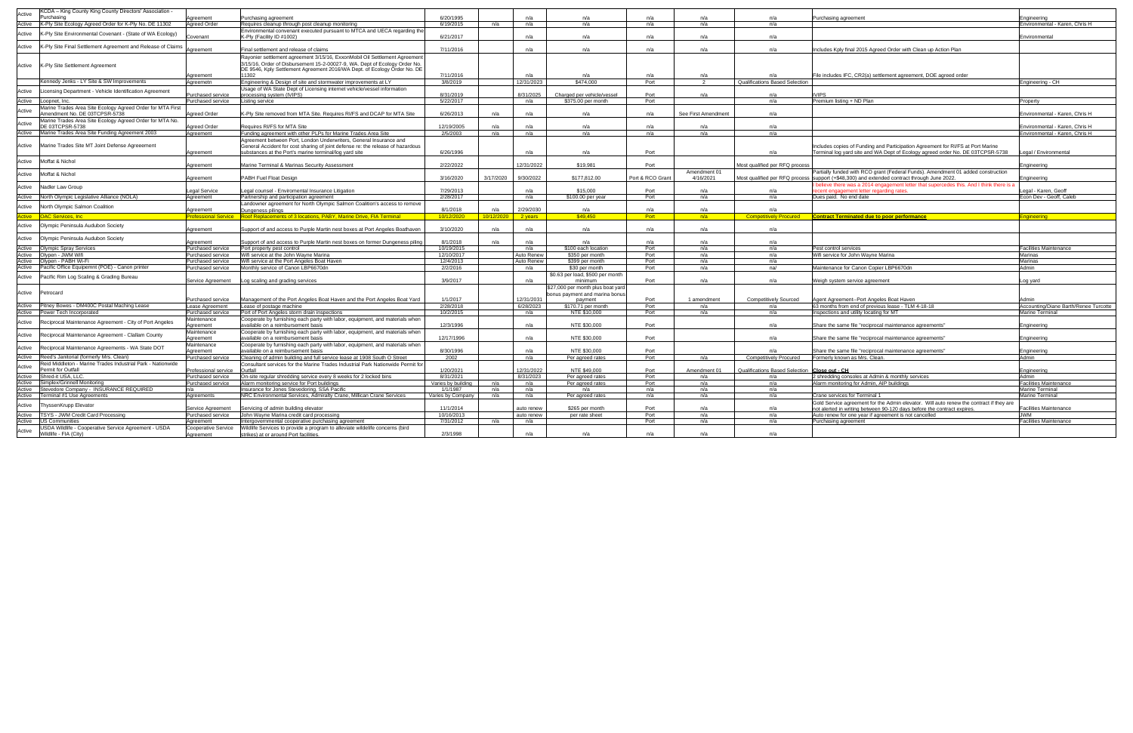| Active                     | KCDA - King County King County Directors' Association                         |                     |                                                                                                                       |                    |           |            |                                   |                 |                    |                                |                                                                                         |                                       |
|----------------------------|-------------------------------------------------------------------------------|---------------------|-----------------------------------------------------------------------------------------------------------------------|--------------------|-----------|------------|-----------------------------------|-----------------|--------------------|--------------------------------|-----------------------------------------------------------------------------------------|---------------------------------------|
|                            | Purchasing                                                                    | greement            | Purchasing agreement                                                                                                  | 6/20/1995          |           | n/a        | n/a                               | n/a             | n/a                | n/a                            | urchasing agreement                                                                     | ngineering                            |
| Active                     | K-Ply Site Ecology Agreed Order for K-Ply No. DE 11302                        | Agreed Order        | Requires cleanup through post cleanup monitoring                                                                      | 6/19/2015          | n/a       | n/a        | n/a                               | n/a             | n/a                | n/a                            |                                                                                         | nvironmental - Karen, Chris H         |
| Active                     | K-Ply Site Environmental Covenant - (State of WA Ecology)                     |                     | Environmental convenant executed pursuant to MTCA and UECA regarding the                                              |                    |           |            |                                   |                 |                    |                                |                                                                                         |                                       |
|                            |                                                                               | ovenant             | K-Ply (Facility ID #1002)                                                                                             | 6/21/2017          |           | n/a        | n/a                               | n/a             | n/a                | n/a                            |                                                                                         | nvironmental                          |
| Active                     | K-Ply Site Final Settlement Agreement and Release of Claims                   |                     |                                                                                                                       |                    |           |            |                                   |                 |                    |                                |                                                                                         |                                       |
|                            |                                                                               | <b>Agreement</b>    | Final settlement and release of claims                                                                                | 7/11/2016          |           | n/a        | n/a                               | n/a             | n/a                | n/a                            | icludes Kply final 2015 Agreed Order with Clean up Action Plan                          |                                       |
|                            |                                                                               |                     | Rayonier settlement agreement 3/15/16, ExxonMobil Oil Settlement Agreemen                                             |                    |           |            |                                   |                 |                    |                                |                                                                                         |                                       |
| Active                     | K-Ply Site Settlement Agreement                                               |                     | 3/15/16, Order of Disbursement 15-2-00027-9, WA. Dept of Ecology Order No.                                            |                    |           |            |                                   |                 |                    |                                |                                                                                         |                                       |
|                            |                                                                               |                     | DE 9546, Kply Settlement Agreement 2016/WA Dept. of Ecology Order No. DE                                              |                    |           |            |                                   |                 |                    |                                |                                                                                         |                                       |
|                            |                                                                               | greement            | 11302                                                                                                                 | 7/11/2016          |           | n/a        | n/a                               | n/a             | n/a                | n/a                            | File includes IFC, CR2(a) settlement agreement, DOE agreed order                        |                                       |
|                            | Kennedy Jenks - LY Site & SW Improvements                                     | Agreemetn           | Engineering & Design of site and stormwater improvements at LY                                                        | 3/8/2019           |           | 12/31/2023 | \$474,000                         | Port            |                    | Qualifications Based Selection |                                                                                         | ngineering - CH                       |
| Active                     | Licensing Department - Vehicle Identification Agreement                       |                     | Usage of WA State Dept of Licensing internet vehicle/vessel information                                               |                    |           |            |                                   |                 |                    |                                |                                                                                         |                                       |
|                            |                                                                               | urchased service    | rocessing system (IVIPS)                                                                                              | 8/31/2019          |           | 8/31/2025  | Charged per vehicle/vessel        | Port            | n/a                |                                |                                                                                         |                                       |
| Active                     | Loopnet, Inc                                                                  | urchased service    | Listing service                                                                                                       | 5/22/2017          |           | n/a        | \$375.00 per month                | Port            |                    | n/a                            | Premium listing + ND Plan                                                               | roperty                               |
| Active                     | Marine Trades Area Site Ecology Agreed Order for MTA First                    |                     |                                                                                                                       |                    |           |            |                                   |                 |                    |                                |                                                                                         |                                       |
|                            | Amendment No. DE 03TCPSR-5738                                                 | greed Order         | K-Ply Site removed from MTA Site. Requires RI/FS and DCAP for MTA Site                                                | 6/26/2013          | n/a       | n/a        | n/a                               | n/a             | See First Amendmen | n/a                            |                                                                                         | nvironmental - Karen, Chris H         |
| Active                     | Marine Trades Area Site Ecology Agreed Order for MTA No.                      |                     |                                                                                                                       |                    |           |            |                                   |                 |                    |                                |                                                                                         |                                       |
|                            | DE 03TCPSR-5738                                                               | greed Order         | Requires RI/FS for MTA Site                                                                                           | 12/19/2005         | n/a       | n/a        | n/a                               | n/a             | n/a                | n/a                            |                                                                                         | ivironmental - Karen, Chris H         |
| Active                     | Marine Trades Area Site Funding Agreement 2003                                | Agreement           | Funding agreement with other PLPs for Marine Trades Area Site                                                         | 2/5/2003           | n/a       | n/a        | n/a                               | n/a             | n/a                | n/a                            |                                                                                         | nvironmental - Karen, Chris H         |
|                            |                                                                               |                     | Agreement between Port, London Underwriters, General Insurance and                                                    |                    |           |            |                                   |                 |                    |                                |                                                                                         |                                       |
| Active                     | Marine Trades Site MT Joint Defense Agreeement                                |                     | General Accident for cost sharing of joint defense re: the release of hazardous                                       |                    |           |            |                                   |                 |                    |                                | Includes copies of Funding and Participation Agreement for RI/FS at Port Marine         |                                       |
|                            |                                                                               | Agreement           | ubstances at the Port's marine terminal/log yard site                                                                 | 6/26/1996          |           | n/a        | n/a                               | Port            |                    | n/a                            | Ferminal log yard site and WA Dept of Ecology agreed order No. DE 03TCPSR-5738          | egal / Environmental                  |
| Active                     | Moffat & Nichol                                                               |                     |                                                                                                                       |                    |           |            |                                   |                 |                    |                                |                                                                                         |                                       |
|                            |                                                                               | greement            | Marine Terminal & Marinas Security Assessment                                                                         | 2/22/2022          |           | 12/31/2022 | \$19,981                          | Port            |                    | Most qualified per RFQ process |                                                                                         | ngineering                            |
| Active                     | Moffat & Nichol                                                               |                     |                                                                                                                       |                    |           |            |                                   |                 | Amendment 01       |                                | Partially funded with RCO grant (Federal Funds). Amendment 01 added construction        |                                       |
|                            |                                                                               | greement            | PABH Fuel Float Design                                                                                                | 3/16/2020          | 3/17/2020 | 9/30/2022  | \$177,812.00                      | Port & RCO Gran | 4/16/2021          | Most qualified per RFQ process | support (+\$48,300) and extended contract through June 2022.                            | ngineering                            |
| Active                     | Nadler Law Group                                                              |                     |                                                                                                                       |                    |           |            |                                   |                 |                    |                                | elieve there was a 2014 engagement letter that supercedes this. And I think there is a  |                                       |
|                            |                                                                               | egal Service        | Legal counsel - Enviromental Insurance Litigation                                                                     | 7/29/2013          |           | n/a        | \$15,000                          | Port            | n/a                | n/a                            | ent engagement letter regarding rates                                                   | egal - Karen, Geoff                   |
| Active                     | North Olympic Legislative Alliance (NOLA)                                     | Aareement           | Partnership and participation agreement                                                                               | 2/28/2017          |           | n/a        | \$100.00 per year                 | Port            | n/a                | n/a                            | Dues paid. No end date                                                                  | Econ Dev - Geoff, Caleb               |
| Active                     | North Olympic Salmon Coalition                                                |                     | Landowner agreement for North Olympic Salmon Coalition's access to remove                                             |                    |           |            |                                   |                 |                    |                                |                                                                                         |                                       |
|                            |                                                                               | <b>greement</b>     | Dungeness pilings                                                                                                     | 8/1/2018           | n/a       | 2/29/2030  | n/a                               | n/a             | n/a                | n/a                            |                                                                                         |                                       |
| <b>Active</b>              | .C Services, Inc                                                              | ofessional Service  | Roof Replacements of 3 locations, PABY, Marine Drive, FIA Terminal                                                    | 10/12/2020         |           | 2 years    | \$49,450                          | Port            | n/a                |                                | Competitively Procured   Contract Terminated due to poor performance                    | aineerina                             |
| Active                     | Olympic Peninsula Audubon Society                                             |                     |                                                                                                                       |                    |           |            |                                   |                 |                    |                                |                                                                                         |                                       |
|                            |                                                                               | greement            | Support of and access to Purple Martin nest boxes at Port Angeles Boathaven                                           | 3/10/2020          | n/a       | n/a        | n/a                               | n/a             | n/a                | n/a                            |                                                                                         |                                       |
| Active                     | Olympic Peninsula Audubon Society                                             |                     |                                                                                                                       |                    |           |            |                                   |                 |                    |                                |                                                                                         |                                       |
|                            |                                                                               | greement            | Support of and access to Purple Martin nest boxes on former Dungeness piling                                          | 8/1/2018           |           | n/a        | n/a                               | n/a             | n/a                | n/a                            |                                                                                         |                                       |
| Active<br>Active<br>Active | Olympic Spray Services                                                        | urchased service    | Port property pest control                                                                                            | 10/19/2015         |           | n/a        | \$100 each location               | Port            | n/a                | n/a                            | Pest control services                                                                   | Facilities Maintenance                |
|                            | Olypen - JWM Wifi                                                             | urchased service    | Wifi service at the John Wayne Marina                                                                                 | 12/10/2017         |           | Auto Renew | \$350 per month                   | Port            | n/a                | n/a                            | Wifi service for John Wayne Marina                                                      | Marinas                               |
|                            | Olypen - PABH Wi-Fi                                                           | urchased service    | Wifi service at the Port Angeles Boat Haven                                                                           | 12/4/2013          |           | Auto Renew | \$399 per month                   | Port            | n/a                | n/a                            |                                                                                         | Marinas                               |
| Active                     | Pacific Office Equipemnt (POE) - Canon printer                                | urchased service    | Monthly service of Canon LBP6670dn                                                                                    | 2/2/2016           |           | n/a        | \$30 per month                    | Port            | n/a                | na/                            | Maintenance for Canon Copier LBP6670dn                                                  | Admin                                 |
|                            |                                                                               |                     |                                                                                                                       |                    |           |            |                                   |                 |                    |                                |                                                                                         |                                       |
|                            |                                                                               |                     |                                                                                                                       |                    |           |            | \$0.63 per load, \$500 per month  |                 |                    |                                |                                                                                         |                                       |
| Active                     | Pacific Rim Log Scaling & Grading Bureau                                      | Service Agreement   | og scaling and grading services.                                                                                      | 3/9/2017           |           | n/a        | minimum                           | Port            | n/a                | n/a                            | Veigh system service agreement                                                          | og yard                               |
|                            |                                                                               |                     |                                                                                                                       |                    |           |            | \$27,000 per month plus boat yard |                 |                    |                                |                                                                                         |                                       |
| Active                     | Petrocard                                                                     |                     |                                                                                                                       |                    |           |            | bonus payment and marina bonus    |                 |                    |                                |                                                                                         |                                       |
|                            |                                                                               | urchased service    | Management of the Port Angeles Boat Haven and the Port Angeles Boat Yard                                              | 1/1/2017           |           | 12/31/2031 | payment                           | Port            | 1 amendment        | <b>Competitively Sourced</b>   | Agent Agreement--Port Angeles Boat Haven                                                |                                       |
| Active                     | Pitney Bowes - DM400C Postal Maching Lease                                    | ease Agreement      | Lease of postage machine                                                                                              | 2/28/2018          |           | 6/28/2023  | \$170.71 per month                | Port            | n/a                | n/a                            | 33 months from end of previous lease - TLM 4-18-18                                      | Accounting/Diane Barth/Renee Turcotte |
| Active                     | Power Tech Incorporated                                                       | urchased service    | Port of Port Angeles storm drain inspections                                                                          | 10/2/2015          |           | n/a        | NTE \$10,000                      | Port            | n/a                | n/a                            | nspections and utility locating for MT                                                  | Marine Terminal                       |
| Active                     |                                                                               | Maintenance         | Cooperate by furnishing each party with labor, equipment, and materials when                                          |                    |           |            |                                   |                 |                    |                                |                                                                                         |                                       |
|                            | Reciprocal Maintenance Agreement - City of Port Angeles                       | greement            | <u>ivailable on a reimbursement basis</u>                                                                             | 12/3/1996          |           | n/a        | NTE \$30,000                      | Port            |                    | n/a                            | hare the same file "reciprocal maintenance agreements                                   | ngineering                            |
|                            |                                                                               | Maintenance         | Cooperate by furnishing each party with labor, equipment, and materials when                                          |                    |           |            |                                   |                 |                    |                                |                                                                                         |                                       |
| Active                     | Reciprocal Maintenance Agreement - Clallam County                             | greement            | <u>ivailable on a reimbursement bas</u>                                                                               | 12/17/1996         |           | n/a        | NTE \$30,000                      | Port            |                    | n/a                            | hare the same file "reciprocal maintenance agreements'                                  | ngineering                            |
|                            |                                                                               | Maintenance         | Cooperate by furnishing each party with labor, equipment, and materials when                                          |                    |           |            |                                   |                 |                    |                                |                                                                                         |                                       |
| Active                     | Reciprocal Maintenance Agreements - WA State DOT                              | greement            | vailable on a reimbursement basis                                                                                     | 8/30/1996          |           | n/a        | NTE \$30,000                      | Port            |                    | n/a                            | Share the same file "reciprocal maintenance agreements"                                 | Engineering                           |
| Active                     | Reed's Janitorial (formerly Mrs. Clean)                                       | urchased service    | Cleaning of admin building and full service lease at 1908 South O Street                                              | 2002               |           | n/a        | Per agreed rates                  | Port            | n/a                | <b>Competitively Procured</b>  | Formerly known as Mrs. Clean.                                                           | Admin                                 |
| Active                     | Reid Middleton - Marine Trades Industrial Park - Nationwide                   |                     | Consultant services for the Marine Trades Industrial Park Nationwide Permit fo                                        |                    |           |            |                                   |                 |                    |                                |                                                                                         |                                       |
|                            | Permit for Outfall                                                            | ofessional service  | Outfall                                                                                                               | 1/20/2021          |           | 12/31/2022 | NTE \$49,000                      | Port            | Amendment 01       | Qualifications Based Selection | <u> Close out - CH</u>                                                                  | <u>ngineering</u>                     |
| Active                     | Shred-it USA. LLC                                                             | urchased service    | On-site regular shredding service every 8 weeks for 2 locked bins                                                     | 8/31/2021          |           | 8/31/2023  | Per agreed rates                  | Port            | n/a                | n/a                            | shredding consoles at Admin & monthly services                                          | Admin                                 |
| Active                     | Simplex/Grinnell Monitorina                                                   | urchased service    | Alarm monitoring service for Port buildings                                                                           | Varies by building | n/a       | n/a        | Per agreed rates                  | Port            | n/a                | n/a                            | Alarm monitoring for Admin, AIP buildings                                               | Facilities Maintenance                |
| Active                     | Stevedore Company - INSURANCE REQUIRED                                        |                     | Insurance for Jones Stevedoring, SSA Pacific                                                                          | 1/1/1987           | n/a       | n/a        | n/a                               | n/a             | n/a                | n/a                            |                                                                                         | Marine Terminal                       |
| Active                     | Terminal #1 Use Agreements                                                    | greements           | NRC Environmental Services, Admiralty Crane, Millican Crane Services                                                  | Varies by Company  | n/a       | n/a        | Per agreed rates                  | n/a             | n/a                | n/a                            | Crane services for Terminal 1                                                           | Marine Terminal                       |
| Active                     | ThyssenKrupp Elevator                                                         |                     |                                                                                                                       |                    |           |            |                                   |                 |                    |                                | Gold Service agreement for the Admin elevator. Will auto renew the contract if they are |                                       |
|                            |                                                                               | ervice Agreement    | Servicing of admin building elevator                                                                                  | 11/1/2014          |           | auto renew | \$265 per month                   | Port            | n/a                | n/a                            | ot alerted in writing between 90-120 days before the contract expires                   | Facilities Maintenance                |
| Active                     | TSYS - JWM Credit Card Processing                                             | urchased service    | John Wayne Marina credit card processing                                                                              | 10/16/2013         |           | auto renew | per rate sheet                    | Port            | n/a                | n/a                            | Auto renew for one year if agreement is not cancelled                                   | <b>IWM</b>                            |
| Active                     | US Communities                                                                | areement            | ntergovernmental cooperative purchasing agreement                                                                     | 7/31/2012          | n/a       | n/a        |                                   | Port            | n/a                | n/a                            | Purchasing agreement                                                                    | Facilities Maintenance                |
| Active                     | JSDA Wildlife - Cooperative Service Agreement - USDA<br>Wildlife - FIA (City) | Cooperative Service | Wildlife Services to provide a program to alleviate wildelife concerns (bird<br>strikes) at or around Port facilities | 2/3/1998           |           | n/a        | n/a                               | n/a             | n/a                | n/a                            |                                                                                         |                                       |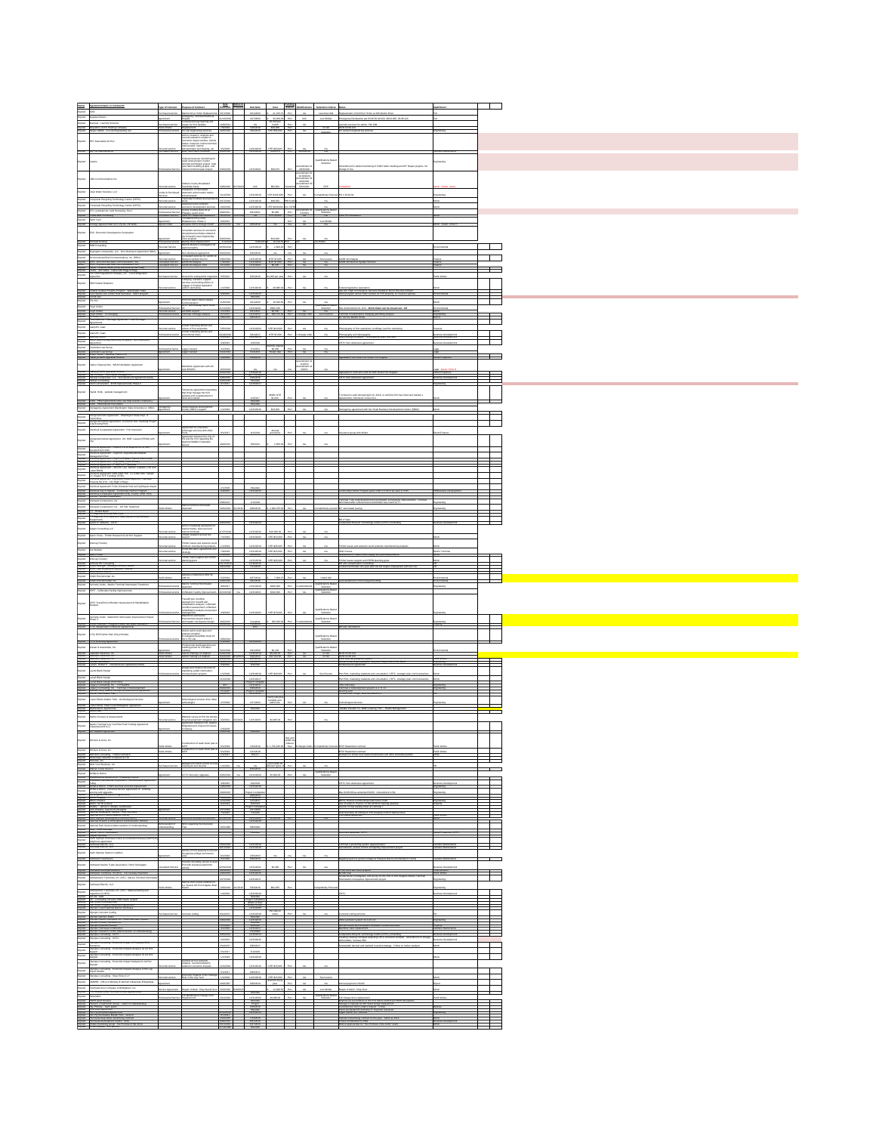|                     | <b>Sishus - Komemont Keme of Contractor</b><br>Kapimal - Kugoles Electric<br>Kapimal - Kugoles Electric<br>Kapimal - Kulanurk - Lawring Senicon Comemon                                                                                                                                                                                                                                                                                    |                                   | <b>Some of Contract</b>                                                                                                                                                                |                                                                                                                                                                                 |                                                                       |          |                                                                                                                                                                                                                                                                                                                                                                                                                                                                                                                                                                                             |                                                         |                     |                                                                                                                                                                                                  |                                                                                                                                                                                                                                                                                                                         |                                                                                                                            |                                                      | $\overline{\phantom{a}}$ |
|---------------------|--------------------------------------------------------------------------------------------------------------------------------------------------------------------------------------------------------------------------------------------------------------------------------------------------------------------------------------------------------------------------------------------------------------------------------------------|-----------------------------------|----------------------------------------------------------------------------------------------------------------------------------------------------------------------------------------|---------------------------------------------------------------------------------------------------------------------------------------------------------------------------------|-----------------------------------------------------------------------|----------|---------------------------------------------------------------------------------------------------------------------------------------------------------------------------------------------------------------------------------------------------------------------------------------------------------------------------------------------------------------------------------------------------------------------------------------------------------------------------------------------------------------------------------------------------------------------------------------------|---------------------------------------------------------|---------------------|--------------------------------------------------------------------------------------------------------------------------------------------------------------------------------------------------|-------------------------------------------------------------------------------------------------------------------------------------------------------------------------------------------------------------------------------------------------------------------------------------------------------------------------|----------------------------------------------------------------------------------------------------------------------------|------------------------------------------------------|--------------------------|
|                     |                                                                                                                                                                                                                                                                                                                                                                                                                                            |                                   |                                                                                                                                                                                        | -<br>Dilve HVAC Regiscene<br>ANOV Terminal Electrical                                                                                                                           |                                                                       |          |                                                                                                                                                                                                                                                                                                                                                                                                                                                                                                                                                                                             |                                                         |                     |                                                                                                                                                                                                  |                                                                                                                                                                                                                                                                                                                         |                                                                                                                            |                                                      |                          |
|                     | Kajiwa - Keguntera ArPia Heating<br>Kajiwa - Kerger AliAM - On Call Ei                                                                                                                                                                                                                                                                                                                                                                     |                                   | <b>Call engineering services</b>                                                                                                                                                       | s<br>at and rug deaning and<br>List Postfacilities                                                                                                                              | $\frac{1200004}{2000018}$                                             |          | $\frac{a_0}{1000000}$                                                                                                                                                                                                                                                                                                                                                                                                                                                                                                                                                                       | $\frac{1000}{1.500}$                                    |                     |                                                                                                                                                                                                  |                                                                                                                                                                                                                                                                                                                         | ndry senioes for admin, FM, MM                                                                                             |                                                      |                          |
|                     | .<br>Eqimd - 857 Associates Ad Hac                                                                                                                                                                                                                                                                                                                                                                                                         |                                   | nd foot research, analysis and<br>ecommendations related to<br>commendations related to<br>consmic impact matine termina<br>vales, bootyand, marine termina<br>vales, bootyand, marine |                                                                                                                                                                                 |                                                                       |          |                                                                                                                                                                                                                                                                                                                                                                                                                                                                                                                                                                                             |                                                         |                     |                                                                                                                                                                                                  |                                                                                                                                                                                                                                                                                                                         |                                                                                                                            |                                                      |                          |
|                     |                                                                                                                                                                                                                                                                                                                                                                                                                                            |                                   | portation and banging, with<br>Yand Palinic Structure                                                                                                                                  |                                                                                                                                                                                 |                                                                       |          |                                                                                                                                                                                                                                                                                                                                                                                                                                                                                                                                                                                             |                                                         |                     |                                                                                                                                                                                                  |                                                                                                                                                                                                                                                                                                                         |                                                                                                                            |                                                      |                          |
| ana.                |                                                                                                                                                                                                                                                                                                                                                                                                                                            |                                   |                                                                                                                                                                                        | haral resources monitoring for<br>Jr-down project, mailine<br>ninal stormwater project, boas<br>I fabric building project, and<br>sneamous regair project.                      |                                                                       |          |                                                                                                                                                                                                                                                                                                                                                                                                                                                                                                                                                                                             |                                                         |                     | 4232019                                                                                                                                                                                          | valifications Base<br>Selection                                                                                                                                                                                                                                                                                         |                                                                                                                            |                                                      |                          |
| .<br>Gaine CAG Come |                                                                                                                                                                                                                                                                                                                                                                                                                                            |                                   |                                                                                                                                                                                        |                                                                                                                                                                                 |                                                                       |          |                                                                                                                                                                                                                                                                                                                                                                                                                                                                                                                                                                                             |                                                         |                     | Amendment of<br>11/18/2020<br>Amendment 02<br>4/29/2021<br>Amendment 02                                                                                                                          |                                                                                                                                                                                                                                                                                                                         |                                                                                                                            |                                                      |                          |
|                     |                                                                                                                                                                                                                                                                                                                                                                                                                                            |                                   |                                                                                                                                                                                        |                                                                                                                                                                                 |                                                                       |          |                                                                                                                                                                                                                                                                                                                                                                                                                                                                                                                                                                                             |                                                         |                     | \$20.252                                                                                                                                                                                         | <b>RFP</b>                                                                                                                                                                                                                                                                                                              |                                                                                                                            |                                                      |                          |
|                     |                                                                                                                                                                                                                                                                                                                                                                                                                                            | olk & Puschas                     |                                                                                                                                                                                        | Ealiston of discussion<br>Marian of discussion<br>Marian or the marine bades<br>House paint of the marine bades<br>Marian or model wood products                                |                                                                       |          | sassane<br>sponsore                                                                                                                                                                                                                                                                                                                                                                                                                                                                                                                                                                         | NTE STAG<br>10.000                                      |                     | $\overline{a}$                                                                                                                                                                                   | pathwa dog<br>$\sim$                                                                                                                                                                                                                                                                                                    |                                                                                                                            |                                                      |                          |
|                     |                                                                                                                                                                                                                                                                                                                                                                                                                                            |                                   |                                                                                                                                                                                        |                                                                                                                                                                                 |                                                                       |          |                                                                                                                                                                                                                                                                                                                                                                                                                                                                                                                                                                                             | 12012019 NTE \$200.0                                    | <b>ALCOHOL</b>      |                                                                                                                                                                                                  | $^{42}$                                                                                                                                                                                                                                                                                                                 |                                                                                                                            |                                                      |                          |
|                     |                                                                                                                                                                                                                                                                                                                                                                                                                                            |                                   |                                                                                                                                                                                        | Financia<br>Escola social products<br>Escola social products<br>Coy existing teams to all<br>Annus Cous Announce<br>Annus Dive Road<br>1 Marine Dive Road<br>1 Marine Dive Road | <b>STORY</b>                                                          |          | $rac{1}{2}$                                                                                                                                                                                                                                                                                                                                                                                                                                                                                                                                                                                 | \$2,085                                                 |                     | $\begin{tabular}{ c c c c } \hline & $\alpha_1$ & $\alpha_2$ & $\alpha_3$ \\ \hline $\alpha_1$ & $\alpha_2$ & $\alpha_3$ \\ \hline $\alpha_4$ & $\alpha_5$ & $\alpha_6$ \\ \hline \end{tabular}$ | Salection<br>Low Bobby                                                                                                                                                                                                                                                                                                  |                                                                                                                            |                                                      |                          |
|                     | Kaymad - Sheer Water Bernson, LLC<br>Kaymad - Scopialite Peopletia (Federality Chemier (SPRS)<br>Kaymad - Scopialite Peopletia (Federality Chemier (SPRS)<br>Kaymad - Scott Sheel<br>Kaymad - Scott Sheel<br>Kaymad - Scott Sheel<br>Kaymad - Sc                                                                                                                                                                                           |                                   | consultant services for economic<br>development activities related to<br>the Emergial Coast Opprotunity                                                                                | Centers Phase 1<br>Ins REFS through DCAP                                                                                                                                        |                                                                       |          | stages                                                                                                                                                                                                                                                                                                                                                                                                                                                                                                                                                                                      |                                                         |                     |                                                                                                                                                                                                  |                                                                                                                                                                                                                                                                                                                         |                                                                                                                            |                                                      |                          |
|                     |                                                                                                                                                                                                                                                                                                                                                                                                                                            |                                   | Cora (inglam)<br>Rafico Kuci Kepacement                                                                                                                                                |                                                                                                                                                                                 |                                                                       |          |                                                                                                                                                                                                                                                                                                                                                                                                                                                                                                                                                                                             |                                                         |                     |                                                                                                                                                                                                  | <b>Cor Book</b>                                                                                                                                                                                                                                                                                                         |                                                                                                                            |                                                      |                          |
|                     | Karmo)<br>Kapind – KMA Carauting<br>Kapind – Kingerpes Composites, LLC - Non-distinues Agne<br>Kapind – Kinvisnmeral Rab Communications, Inc. (RRCI)                                                                                                                                                                                                                                                                                       | onat broce                        |                                                                                                                                                                                        |                                                                                                                                                                                 |                                                                       |          |                                                                                                                                                                                                                                                                                                                                                                                                                                                                                                                                                                                             |                                                         |                     |                                                                                                                                                                                                  | ⊤__                                                                                                                                                                                                                                                                                                                     |                                                                                                                            |                                                      |                          |
|                     |                                                                                                                                                                                                                                                                                                                                                                                                                                            |                                   | Consultant services for OASB<br>Reserve Update Service<br>GASB 49 Analysis<br>SASB 49 Analysis 2022                                                                                    |                                                                                                                                                                                 |                                                                       |          |                                                                                                                                                                                                                                                                                                                                                                                                                                                                                                                                                                                             |                                                         |                     |                                                                                                                                                                                                  | $\begin{array}{r} \begin{array}{c} \begin{array}{c} \begin{array}{c} \begin{array}{c} \begin{array}{c} \end{array} \\ \begin{array}{c} \end{array} \\ \begin{array}{c} \end{array} \\ \begin{array}{c} \end{array} \\ \begin{array}{c} \end{array} \\ \begin{array}{c} \end{array} \end{array} \end{array} \end{array}$ | SASE Of Antiuse<br>SASE Of Reserve Update Sen                                                                              |                                                      |                          |
|                     | Equind - ERCL Envisionista Rus Ca<br>Killins - ERCL Envisionista Rus Ca<br>Killins - Sales - Claires Pales Olive<br>Killins - Sales - Diales Pales - Lease of<br>Killins - Sales - Lease Lease Compa                                                                                                                                                                                                                                       |                                   |                                                                                                                                                                                        |                                                                                                                                                                                 |                                                                       |          | anagers                                                                                                                                                                                                                                                                                                                                                                                                                                                                                                                                                                                     | -<br>\$1,000 per yea                                    |                     |                                                                                                                                                                                                  |                                                                                                                                                                                                                                                                                                                         |                                                                                                                            |                                                      |                          |
|                     |                                                                                                                                                                                                                                                                                                                                                                                                                                            |                                   | Liddying, outwards, support<br>tervices and funding efforts to<br>engage in Federat legislation<br>and/or rulemating                                                                   | mal fin extrapisher inspection 8/8/2015                                                                                                                                         |                                                                       |          |                                                                                                                                                                                                                                                                                                                                                                                                                                                                                                                                                                                             |                                                         |                     | $\omega_{\rm A}$                                                                                                                                                                                 | $\sim$                                                                                                                                                                                                                                                                                                                  |                                                                                                                            |                                                      |                          |
|                     | -<br>Fajred - Pill Federal Rotalino<br>Fajred - Pill Federal Rotalino<br>Fajred - Pill Marshall, Pillette Politice and Norwegian<br>Fajred - Pine Fox<br>Kajred - Pine Fox                                                                                                                                                                                                                                                                 |                                   |                                                                                                                                                                                        |                                                                                                                                                                                 |                                                                       |          |                                                                                                                                                                                                                                                                                                                                                                                                                                                                                                                                                                                             |                                                         |                     |                                                                                                                                                                                                  |                                                                                                                                                                                                                                                                                                                         |                                                                                                                            |                                                      | ╤                        |
|                     |                                                                                                                                                                                                                                                                                                                                                                                                                                            | <b>Sterle</b>                     |                                                                                                                                                                                        | vicebin<br>At Chang, thin Order                                                                                                                                                 |                                                                       |          |                                                                                                                                                                                                                                                                                                                                                                                                                                                                                                                                                                                             |                                                         |                     |                                                                                                                                                                                                  | an<br>Alfonson Ra                                                                                                                                                                                                                                                                                                       |                                                                                                                            |                                                      |                          |
|                     | Equined Poya Svider<br>Equined Poya Svider<br>Equined Poya Svider - 13 Oktober<br>Equined Point Martin - Berlinger A                                                                                                                                                                                                                                                                                                                       |                                   |                                                                                                                                                                                        | agosti<br>Diedige analysis                                                                                                                                                      |                                                                       |          | $\begin{tabular}{ c c c c c c c c } \hline & $\alpha$ & $\alpha$ & $\alpha$ & $\alpha$ \\ \hline $\alpha$ & $\alpha$ & $\alpha$ & $\alpha$ & $\alpha$ \\ \hline $\alpha$ & $\alpha$ & $\alpha$ & $\alpha$ & $\alpha$ \\ \hline $\alpha$ & $\alpha$ & $\alpha$ & $\alpha$ & $\alpha$ \\ \hline $\alpha$ & $\alpha$ & $\alpha$ & $\alpha$ & $\alpha$ \\ \hline $\alpha$ & $\alpha$ & $\alpha$ & $\alpha$ & $\alpha$ \\ \hline $\alpha$ & $\alpha$ & $\alpha$ & $\alpha$ & $\alpha$ \\ \hline $\alpha$ & $\alpha$ & $\alpha$ & $\alpha$ & $\alpha$ \\ \hline $\alpha$ & $\alpha$ & $\alpha$ &$ |                                                         |                     |                                                                                                                                                                                                  |                                                                                                                                                                                                                                                                                                                         |                                                                                                                            |                                                      |                          |
|                     | Equind Folk Mailline<br>Sqind Danah, bas                                                                                                                                                                                                                                                                                                                                                                                                   |                                   |                                                                                                                                                                                        |                                                                                                                                                                                 |                                                                       |          | contage arrivage as                                                                                                                                                                                                                                                                                                                                                                                                                                                                                                                                                                         |                                                         |                     |                                                                                                                                                                                                  |                                                                                                                                                                                                                                                                                                                         |                                                                                                                            |                                                      |                          |
|                     |                                                                                                                                                                                                                                                                                                                                                                                                                                            | <b>CONTRACTOR</b><br>ional servic |                                                                                                                                                                                        |                                                                                                                                                                                 |                                                                       |          |                                                                                                                                                                                                                                                                                                                                                                                                                                                                                                                                                                                             |                                                         |                     | no.                                                                                                                                                                                              | $-40$<br>$\alpha\Delta$                                                                                                                                                                                                                                                                                                 | coursely of Part completes, by                                                                                             |                                                      |                          |
|                     | Equind - Stadschi, Naac<br>Expired - Seather Wood<br>Expired - Spanisor<br>Expired - Spanisor<br>Expired - Soudstein Law Group                                                                                                                                                                                                                                                                                                             |                                   |                                                                                                                                                                                        |                                                                                                                                                                                 | $rac{1}{2}$                                                           |          | $\overline{\phantom{a}}$ and                                                                                                                                                                                                                                                                                                                                                                                                                                                                                                                                                                |                                                         |                     |                                                                                                                                                                                                  |                                                                                                                                                                                                                                                                                                                         | <b>RTC Non-disclosure acreement</b>                                                                                        |                                                      |                          |
|                     | Egine) – Sootsen Lius Group<br>Egine) – Siliyi Hatoir - Banžný Platonii (2<br>Egine) – Katery Pacitic Appraira Service                                                                                                                                                                                                                                                                                                                     |                                   |                                                                                                                                                                                        |                                                                                                                                                                                 |                                                                       |          | arvasen<br>100209-100203-100203-201022                                                                                                                                                                                                                                                                                                                                                                                                                                                                                                                                                      | \$3,280                                                 |                     | $\begin{tabular}{ c c } \hline & 01 & 01 \\ \hline \hline & 01 & 02 \\ \hline & 01 & 02 \\ \hline & 01 & 02 \\ \hline & 02 & 02 \\ \hline \end{tabular}$                                         |                                                                                                                                                                                                                                                                                                                         |                                                                                                                            |                                                      | $\equiv$                 |
|                     | .<br>Equind Partici Chang Ste - WPNH                                                                                                                                                                                                                                                                                                                                                                                                       |                                   | Askator Agreement with OC<br>16 WPM40                                                                                                                                                  |                                                                                                                                                                                 |                                                                       |          |                                                                                                                                                                                                                                                                                                                                                                                                                                                                                                                                                                                             |                                                         |                     |                                                                                                                                                                                                  |                                                                                                                                                                                                                                                                                                                         |                                                                                                                            |                                                      |                          |
|                     |                                                                                                                                                                                                                                                                                                                                                                                                                                            |                                   |                                                                                                                                                                                        |                                                                                                                                                                                 |                                                                       |          |                                                                                                                                                                                                                                                                                                                                                                                                                                                                                                                                                                                             |                                                         |                     |                                                                                                                                                                                                  |                                                                                                                                                                                                                                                                                                                         |                                                                                                                            | Rantaf Popeline<br>Babriela Cinatgrield<br>Lucrocore |                          |
|                     | Leynol - Kalima Paulo Agranda Mata<br>Leynol - Kat Crucke - Barmalar Matagonet<br>Leynol - Katal Compaline, LLC - Marekstawn Agree<br>Leynol - Matagonetics - Util Barmalawn Plate 7<br>Leynol - Matagonetics - Util Barmalawn Plate 7                                                                                                                                                                                                     |                                   |                                                                                                                                                                                        |                                                                                                                                                                                 |                                                                       |          |                                                                                                                                                                                                                                                                                                                                                                                                                                                                                                                                                                                             |                                                         |                     |                                                                                                                                                                                                  |                                                                                                                                                                                                                                                                                                                         |                                                                                                                            |                                                      |                          |
|                     | <b>Expired American Constitution</b><br>Expired Material Hulty - website management                                                                                                                                                                                                                                                                                                                                                        |                                   | Temporary agreement requesting<br>Eus Huty manage the Port<br>website until a replacement is<br>tired and trained.                                                                     |                                                                                                                                                                                 |                                                                       |          |                                                                                                                                                                                                                                                                                                                                                                                                                                                                                                                                                                                             | $\frac{500 \text{ N}}{11,000}$                          |                     |                                                                                                                                                                                                  |                                                                                                                                                                                                                                                                                                                         |                                                                                                                            |                                                      |                          |
|                     | .<br>Kapind - KWU - FMA Agreement, (Ata see 3hp & Dook Forentiers)<br>Kapind - KWU - FMA Barell Plan leben.<br>Equino Entre Procurament Paint Board<br>Equino Interagency Agencies Washington State University in SECC Mg                                                                                                                                                                                                                  |                                   |                                                                                                                                                                                        |                                                                                                                                                                                 |                                                                       |          |                                                                                                                                                                                                                                                                                                                                                                                                                                                                                                                                                                                             |                                                         |                     |                                                                                                                                                                                                  |                                                                                                                                                                                                                                                                                                                         |                                                                                                                            |                                                      |                          |
|                     |                                                                                                                                                                                                                                                                                                                                                                                                                                            |                                   |                                                                                                                                                                                        |                                                                                                                                                                                 |                                                                       | ┰<br>ᅮ   |                                                                                                                                                                                                                                                                                                                                                                                                                                                                                                                                                                                             |                                                         |                     |                                                                                                                                                                                                  |                                                                                                                                                                                                                                                                                                                         |                                                                                                                            |                                                      |                          |
|                     | Equina - The Proposition of The County of State County of State County of State County of State County of State County of The County of The County of The County of The County of The County of The County of The County of Th                                                                                                                                                                                                             |                                   |                                                                                                                                                                                        |                                                                                                                                                                                 |                                                                       |          |                                                                                                                                                                                                                                                                                                                                                                                                                                                                                                                                                                                             |                                                         |                     |                                                                                                                                                                                                  |                                                                                                                                                                                                                                                                                                                         |                                                                                                                            |                                                      |                          |
|                     |                                                                                                                                                                                                                                                                                                                                                                                                                                            |                                   | <b>Ngasement for insurance</b><br>brokerade services with other                                                                                                                        |                                                                                                                                                                                 |                                                                       |          | snoon.                                                                                                                                                                                                                                                                                                                                                                                                                                                                                                                                                                                      | $\frac{Area}{Area}$                                     |                     | $_{\text{max}}$                                                                                                                                                                                  |                                                                                                                                                                                                                                                                                                                         |                                                                                                                            |                                                      |                          |
|                     | .<br>Kapinal - Ringpownmental Agentural - Rx: MAY La<br>City                                                                                                                                                                                                                                                                                                                                                                               |                                   | <b>Ngasemant between the City of<br/>PA and the Port regarding the<br/>National Wildfie Federation</b>                                                                                 |                                                                                                                                                                                 |                                                                       |          |                                                                                                                                                                                                                                                                                                                                                                                                                                                                                                                                                                                             |                                                         |                     |                                                                                                                                                                                                  |                                                                                                                                                                                                                                                                                                                         |                                                                                                                            |                                                      |                          |
|                     | .<br>Ligind Luige Ever 201<br>Ligind Miniscal Agrees                                                                                                                                                                                                                                                                                                                                                                                       |                                   |                                                                                                                                                                                        |                                                                                                                                                                                 |                                                                       |          |                                                                                                                                                                                                                                                                                                                                                                                                                                                                                                                                                                                             |                                                         |                     |                                                                                                                                                                                                  |                                                                                                                                                                                                                                                                                                                         |                                                                                                                            |                                                      |                          |
|                     |                                                                                                                                                                                                                                                                                                                                                                                                                                            |                                   |                                                                                                                                                                                        |                                                                                                                                                                                 |                                                                       |          |                                                                                                                                                                                                                                                                                                                                                                                                                                                                                                                                                                                             |                                                         |                     |                                                                                                                                                                                                  |                                                                                                                                                                                                                                                                                                                         |                                                                                                                            |                                                      |                          |
|                     |                                                                                                                                                                                                                                                                                                                                                                                                                                            |                                   |                                                                                                                                                                                        |                                                                                                                                                                                 |                                                                       |          |                                                                                                                                                                                                                                                                                                                                                                                                                                                                                                                                                                                             |                                                         |                     |                                                                                                                                                                                                  |                                                                                                                                                                                                                                                                                                                         |                                                                                                                            |                                                      |                          |
|                     |                                                                                                                                                                                                                                                                                                                                                                                                                                            |                                   |                                                                                                                                                                                        |                                                                                                                                                                                 |                                                                       |          |                                                                                                                                                                                                                                                                                                                                                                                                                                                                                                                                                                                             |                                                         |                     |                                                                                                                                                                                                  |                                                                                                                                                                                                                                                                                                                         |                                                                                                                            |                                                      |                          |
|                     |                                                                                                                                                                                                                                                                                                                                                                                                                                            |                                   |                                                                                                                                                                                        |                                                                                                                                                                                 |                                                                       |          | $\frac{304599}{12312018}$                                                                                                                                                                                                                                                                                                                                                                                                                                                                                                                                                                   |                                                         |                     |                                                                                                                                                                                                  |                                                                                                                                                                                                                                                                                                                         |                                                                                                                            |                                                      |                          |
|                     |                                                                                                                                                                                                                                                                                                                                                                                                                                            |                                   |                                                                                                                                                                                        |                                                                                                                                                                                 | equipone                                                              |          | <b>USSES</b><br>atopas atopas atopas                                                                                                                                                                                                                                                                                                                                                                                                                                                                                                                                                        | zaozn.                                                  |                     | $\omega$                                                                                                                                                                                         |                                                                                                                                                                                                                                                                                                                         |                                                                                                                            |                                                      |                          |
|                     |                                                                                                                                                                                                                                                                                                                                                                                                                                            |                                   |                                                                                                                                                                                        |                                                                                                                                                                                 |                                                                       |          |                                                                                                                                                                                                                                                                                                                                                                                                                                                                                                                                                                                             |                                                         |                     |                                                                                                                                                                                                  |                                                                                                                                                                                                                                                                                                                         |                                                                                                                            |                                                      |                          |
|                     |                                                                                                                                                                                                                                                                                                                                                                                                                                            |                                   |                                                                                                                                                                                        |                                                                                                                                                                                 |                                                                       |          |                                                                                                                                                                                                                                                                                                                                                                                                                                                                                                                                                                                             |                                                         |                     |                                                                                                                                                                                                  |                                                                                                                                                                                                                                                                                                                         |                                                                                                                            |                                                      |                          |
|                     | .<br>Eigind — Jaege Consaling LLC<br>Eigind — Jason Cross - Timber Research & Ad Hoc Suppo                                                                                                                                                                                                                                                                                                                                                 |                                   |                                                                                                                                                                                        | themmats<br>in research and ad hoc                                                                                                                                              |                                                                       |          | spaceco a                                                                                                                                                                                                                                                                                                                                                                                                                                                                                                                                                                                   |                                                         |                     |                                                                                                                                                                                                  |                                                                                                                                                                                                                                                                                                                         |                                                                                                                            |                                                      |                          |
|                     |                                                                                                                                                                                                                                                                                                                                                                                                                                            |                                   | inter issues and advance wood<br>solutis manufacturing analysis<br>solit.titu tabor agreements and                                                                                     |                                                                                                                                                                                 |                                                                       |          | sanana                                                                                                                                                                                                                                                                                                                                                                                                                                                                                                                                                                                      |                                                         |                     | $\omega$                                                                                                                                                                                         |                                                                                                                                                                                                                                                                                                                         |                                                                                                                            |                                                      |                          |
|                     |                                                                                                                                                                                                                                                                                                                                                                                                                                            |                                   |                                                                                                                                                                                        |                                                                                                                                                                                 | $rac{1}{112018}$                                                      |          |                                                                                                                                                                                                                                                                                                                                                                                                                                                                                                                                                                                             |                                                         |                     | $\overline{\phantom{a}}$<br>$^{th}$                                                                                                                                                              | $\sim$<br>$\omega_{\rm B}$                                                                                                                                                                                                                                                                                              |                                                                                                                            | Marine Terminat<br>Politico                          |                          |
|                     |                                                                                                                                                                                                                                                                                                                                                                                                                                            |                                   |                                                                                                                                                                                        |                                                                                                                                                                                 | 332018                                                                |          |                                                                                                                                                                                                                                                                                                                                                                                                                                                                                                                                                                                             |                                                         |                     |                                                                                                                                                                                                  |                                                                                                                                                                                                                                                                                                                         |                                                                                                                            |                                                      |                          |
|                     | Kipinel - Disas Cola - Tribal Kessach<br>Kipinel - Storator<br>Kipinel - Storator<br>Kipinel - Storator<br>Kipinel - Storator<br>Kipinel - Storator Storator<br>Kipinel - Storator Storator<br>Kipinel - Storator Storator<br>Kipinel - Storator Jana,                                                                                                                                                                                     |                                   |                                                                                                                                                                                        | Els Abstenand EST 11.                                                                                                                                                           | $rac{1}{4^{2}3^{2}2^{2}}$                                             |          | 4222029                                                                                                                                                                                                                                                                                                                                                                                                                                                                                                                                                                                     |                                                         | ranze Pot           | $_{\alpha}$                                                                                                                                                                                      | <b>Under dot</b>                                                                                                                                                                                                                                                                                                        |                                                                                                                            |                                                      |                          |
|                     | Equind - Kennedy Jerks - Maline Terminal Sturmwater Treatmen<br>Equind - 1999 - Coffentian Facility Improvements                                                                                                                                                                                                                                                                                                                           |                                   | to Techinal Shortwater                                                                                                                                                                 |                                                                                                                                                                                 | swarr T                                                               |          | 4203216<br>12313019 \$231,000 Pod 3 americans                                                                                                                                                                                                                                                                                                                                                                                                                                                                                                                                               |                                                         |                     | $\sim$                                                                                                                                                                                           | an<br>Cabana Based<br>Satection<br>difications Base<br>Satection                                                                                                                                                                                                                                                        |                                                                                                                            |                                                      |                          |
|                     |                                                                                                                                                                                                                                                                                                                                                                                                                                            |                                   |                                                                                                                                                                                        |                                                                                                                                                                                 |                                                                       |          |                                                                                                                                                                                                                                                                                                                                                                                                                                                                                                                                                                                             |                                                         |                     |                                                                                                                                                                                                  |                                                                                                                                                                                                                                                                                                                         |                                                                                                                            |                                                      |                          |
|                     | .<br>Kapind – 1999-Travelt & Collection Ar<br>Kapind – Kapina                                                                                                                                                                                                                                                                                                                                                                              |                                   | <br> Yavelifi pier sanding<br> Makilitation analysis, sufferdam<br> Makilitation analysis, sufferdam<br> Makilitation analysis and project                                             |                                                                                                                                                                                 |                                                                       |          |                                                                                                                                                                                                                                                                                                                                                                                                                                                                                                                                                                                             |                                                         |                     |                                                                                                                                                                                                  |                                                                                                                                                                                                                                                                                                                         |                                                                                                                            |                                                      |                          |
|                     | :<br>Equinal - Maximity Jerks - Waterhort Stormwater Impro<br>Express - Maximity Jerks - Philippedi Parket Kill Haller<br>Express - M. Pitchellagenders Continuint Agreements                                                                                                                                                                                                                                                              |                                   |                                                                                                                                                                                        | omanar<br>agament<br>udrunt shormwater<br>uwanent project phase 2 -<br>nwater conveyance design                                                                                 |                                                                       |          | 12312000<br>$\begin{array}{c}\n\text{Supp} \hspace{.01in} \text{array} \hspace{.2in} \text{3} \\\n\text{Supp} \hspace{.01in} \text{3} \\\n\text{Supp} \hspace{.01in} \text{3} \\\n\text{Supp} \hspace{.01in} \text{3} \\\n\end{array}$                                                                                                                                                                                                                                                                                                                                                      |                                                         |                     |                                                                                                                                                                                                  | Selection<br>.<br>201.000.00 Pot 3 amendments Selection Rated                                                                                                                                                                                                                                                           |                                                                                                                            |                                                      |                          |
|                     |                                                                                                                                                                                                                                                                                                                                                                                                                                            |                                   |                                                                                                                                                                                        |                                                                                                                                                                                 |                                                                       |          |                                                                                                                                                                                                                                                                                                                                                                                                                                                                                                                                                                                             |                                                         |                     |                                                                                                                                                                                                  |                                                                                                                                                                                                                                                                                                                         |                                                                                                                            |                                                      |                          |
|                     |                                                                                                                                                                                                                                                                                                                                                                                                                                            |                                   | the and                                                                                                                                                                                | adion work plan and<br>I minedial<br>plon/headolity study for<br>Iv site                                                                                                        |                                                                       |          | 231/2001                                                                                                                                                                                                                                                                                                                                                                                                                                                                                                                                                                                    |                                                         |                     |                                                                                                                                                                                                  |                                                                                                                                                                                                                                                                                                                         |                                                                                                                            |                                                      |                          |
|                     | .<br>Eigind - K.Phittansong Agwernet<br>Eigind - Klazen & Associates, Inc.                                                                                                                                                                                                                                                                                                                                                                 |                                   | .<br>Mogarit textospectura per<br>Mogaritet tu PM Moto                                                                                                                                 |                                                                                                                                                                                 |                                                                       |          | anoco                                                                                                                                                                                                                                                                                                                                                                                                                                                                                                                                                                                       | \$2,100                                                 |                     |                                                                                                                                                                                                  | Qualifications Base<br>Salestics                                                                                                                                                                                                                                                                                        |                                                                                                                            |                                                      |                          |
|                     | Eiginer – Javansk Frankrike, den<br>Eiginer – Javansk Frankrike, den<br>Eiginer – Javansk Frankrike, den<br>Eiginer – Javan, Frankrike, Frankrike, Agna<br>Eiginer – Javan, Frankrike, Frankrike, Agna                                                                                                                                                                                                                                     |                                   |                                                                                                                                                                                        |                                                                                                                                                                                 |                                                                       |          | 2004<br>1990: Anima (1990) - 1990: 1990 - 1990<br>1990: Anima (1990) - 1990: 1990 - 1990 - 1990<br>1990: 1990: 1990 - 1990<br>1990: 1990 - 1990 - 1990<br>1990: 1990 - 1990 - 1990                                                                                                                                                                                                                                                                                                                                                                                                          |                                                         |                     |                                                                                                                                                                                                  | $\equiv$ $\frac{1}{2}$                                                                                                                                                                                                                                                                                                  |                                                                                                                            |                                                      |                          |
|                     |                                                                                                                                                                                                                                                                                                                                                                                                                                            |                                   | esign and creative services for<br>valueting, public information,<br>ommunication since the                                                                                            |                                                                                                                                                                                 |                                                                       |          | unun                                                                                                                                                                                                                                                                                                                                                                                                                                                                                                                                                                                        |                                                         |                     |                                                                                                                                                                                                  |                                                                                                                                                                                                                                                                                                                         |                                                                                                                            |                                                      |                          |
|                     | <b>Equind - Laurel Mack Design<br/>Equind - Laurel Mack Design</b><br>Equind - Laurel Mack Design                                                                                                                                                                                                                                                                                                                                          |                                   |                                                                                                                                                                                        |                                                                                                                                                                                 | 75/2018                                                               |          | sassann                                                                                                                                                                                                                                                                                                                                                                                                                                                                                                                                                                                     | NTE \$40.00                                             |                     | $\omega$                                                                                                                                                                                         | Sout Source                                                                                                                                                                                                                                                                                                             |                                                                                                                            |                                                      |                          |
|                     | France - John Miller, Philippine Paul Theodore<br>1980 - Angel Correlling, Northelm Boundary<br>1980 - Anne Correlling, No. 7 (1982)<br>1980 - Annie John Miller, Norwell Beatrement Adre<br>1980 - Josef Piet, Maler Paul<br>1980 - Josef Ra                                                                                                                                                                                              |                                   |                                                                                                                                                                                        |                                                                                                                                                                                 | $\begin{array}{r} 207 \\ 8240278 \\ 2110027 \\ 874007 \\ \end{array}$ |          | President<br>San 2 Congres                                                                                                                                                                                                                                                                                                                                                                                                                                                                                                                                                                  |                                                         |                     |                                                                                                                                                                                                  |                                                                                                                                                                                                                                                                                                                         | Plus 230 Days<br>Terminal 1 Hel                                                                                            |                                                      |                          |
|                     |                                                                                                                                                                                                                                                                                                                                                                                                                                            |                                   |                                                                                                                                                                                        | <b>Designation of the Contract</b>                                                                                                                                              |                                                                       |          |                                                                                                                                                                                                                                                                                                                                                                                                                                                                                                                                                                                             | Mouthy sales plus<br>Secretis and<br>Admin final - Rind |                     |                                                                                                                                                                                                  |                                                                                                                                                                                                                                                                                                                         |                                                                                                                            |                                                      |                          |
|                     |                                                                                                                                                                                                                                                                                                                                                                                                                                            |                                   |                                                                                                                                                                                        |                                                                                                                                                                                 |                                                                       |          | Obligate                                                                                                                                                                                                                                                                                                                                                                                                                                                                                                                                                                                    |                                                         |                     |                                                                                                                                                                                                  |                                                                                                                                                                                                                                                                                                                         |                                                                                                                            |                                                      | −                        |
|                     |                                                                                                                                                                                                                                                                                                                                                                                                                                            |                                   |                                                                                                                                                                                        | <b>Kand survey at PIA GA Access</b>                                                                                                                                             |                                                                       |          |                                                                                                                                                                                                                                                                                                                                                                                                                                                                                                                                                                                             |                                                         |                     |                                                                                                                                                                                                  |                                                                                                                                                                                                                                                                                                                         |                                                                                                                            |                                                      |                          |
|                     | .<br>Expired Matine Terminal Log Yant Site Final Funding Agreement<br><b>Karnet Strainer Agreement</b>                                                                                                                                                                                                                                                                                                                                     |                                   | <b>Road development mitigation site:</b><br>Rigenement between Plut, Atlantic<br>Rully field and Chevise Products<br>Company                                                           |                                                                                                                                                                                 |                                                                       |          |                                                                                                                                                                                                                                                                                                                                                                                                                                                                                                                                                                                             |                                                         |                     |                                                                                                                                                                                                  |                                                                                                                                                                                                                                                                                                                         |                                                                                                                            |                                                      |                          |
|                     | .<br>Name: McCare & Sons, Inc.                                                                                                                                                                                                                                                                                                                                                                                                             |                                   |                                                                                                                                                                                        |                                                                                                                                                                                 |                                                                       |          |                                                                                                                                                                                                                                                                                                                                                                                                                                                                                                                                                                                             |                                                         | Port and<br>SERG to |                                                                                                                                                                                                  |                                                                                                                                                                                                                                                                                                                         |                                                                                                                            |                                                      |                          |
|                     |                                                                                                                                                                                                                                                                                                                                                                                                                                            | Anoth als                         |                                                                                                                                                                                        | .<br>Giltion of mash down pas                                                                                                                                                   | angera<br>Vigera                                                      |          |                                                                                                                                                                                                                                                                                                                                                                                                                                                                                                                                                                                             |                                                         |                     |                                                                                                                                                                                                  |                                                                                                                                                                                                                                                                                                                         |                                                                                                                            |                                                      |                          |
|                     | Equind - McClare & Sons, Inc.<br>Express - McClare Consulting - Timber<br>Express - McClares Ontalian Comp<br>Express - McClares Danieles, Inc.<br>Express - McClare Danieles, Inc.<br>Express - McClare Danieles, Inc.                                                                                                                                                                                                                    |                                   |                                                                                                                                                                                        |                                                                                                                                                                                 |                                                                       |          | 1010018<br>=                                                                                                                                                                                                                                                                                                                                                                                                                                                                                                                                                                                |                                                         |                     |                                                                                                                                                                                                  |                                                                                                                                                                                                                                                                                                                         |                                                                                                                            |                                                      | ═                        |
|                     |                                                                                                                                                                                                                                                                                                                                                                                                                                            | steel tents                       |                                                                                                                                                                                        |                                                                                                                                                                                 | sapera .                                                              | $\equiv$ |                                                                                                                                                                                                                                                                                                                                                                                                                                                                                                                                                                                             |                                                         | Ħ                   | $-44$                                                                                                                                                                                            | $-40$<br>Quetasen Bay                                                                                                                                                                                                                                                                                                   |                                                                                                                            |                                                      | $\overline{\phantom{0}}$ |
|                     |                                                                                                                                                                                                                                                                                                                                                                                                                                            | anac.                             | DCTV Senaty Upgrass                                                                                                                                                                    |                                                                                                                                                                                 |                                                                       |          | comments of the comments of the comments of the second comments of the comments of the comments of the comments of the comments of the comments of the comments of the comments of the comments of the comments of the comment                                                                                                                                                                                                                                                                                                                                                              |                                                         |                     | nta -                                                                                                                                                                                            |                                                                                                                                                                                                                                                                                                                         |                                                                                                                            |                                                      |                          |
|                     |                                                                                                                                                                                                                                                                                                                                                                                                                                            |                                   |                                                                                                                                                                                        |                                                                                                                                                                                 |                                                                       |          | 492018                                                                                                                                                                                                                                                                                                                                                                                                                                                                                                                                                                                      |                                                         |                     |                                                                                                                                                                                                  |                                                                                                                                                                                                                                                                                                                         |                                                                                                                            |                                                      |                          |
|                     |                                                                                                                                                                                                                                                                                                                                                                                                                                            |                                   |                                                                                                                                                                                        |                                                                                                                                                                                 |                                                                       |          |                                                                                                                                                                                                                                                                                                                                                                                                                                                                                                                                                                                             |                                                         |                     |                                                                                                                                                                                                  |                                                                                                                                                                                                                                                                                                                         |                                                                                                                            |                                                      |                          |
|                     |                                                                                                                                                                                                                                                                                                                                                                                                                                            |                                   |                                                                                                                                                                                        |                                                                                                                                                                                 |                                                                       |          | $\frac{0.10007}{9.02014}$                                                                                                                                                                                                                                                                                                                                                                                                                                                                                                                                                                   |                                                         |                     |                                                                                                                                                                                                  |                                                                                                                                                                                                                                                                                                                         |                                                                                                                            |                                                      |                          |
|                     |                                                                                                                                                                                                                                                                                                                                                                                                                                            |                                   | nam: Bratconeri actual                                                                                                                                                                 |                                                                                                                                                                                 | 327200<br>12312019                                                    |          | 12010000                                                                                                                                                                                                                                                                                                                                                                                                                                                                                                                                                                                    | 13,000,000                                              |                     |                                                                                                                                                                                                  |                                                                                                                                                                                                                                                                                                                         |                                                                                                                            |                                                      |                          |
|                     |                                                                                                                                                                                                                                                                                                                                                                                                                                            |                                   |                                                                                                                                                                                        |                                                                                                                                                                                 |                                                                       |          |                                                                                                                                                                                                                                                                                                                                                                                                                                                                                                                                                                                             |                                                         |                     |                                                                                                                                                                                                  |                                                                                                                                                                                                                                                                                                                         |                                                                                                                            |                                                      |                          |
|                     |                                                                                                                                                                                                                                                                                                                                                                                                                                            |                                   |                                                                                                                                                                                        |                                                                                                                                                                                 |                                                                       |          |                                                                                                                                                                                                                                                                                                                                                                                                                                                                                                                                                                                             |                                                         |                     |                                                                                                                                                                                                  |                                                                                                                                                                                                                                                                                                                         |                                                                                                                            |                                                      |                          |
| $rac{1}{2}$         |                                                                                                                                                                                                                                                                                                                                                                                                                                            |                                   |                                                                                                                                                                                        |                                                                                                                                                                                 |                                                                       |          |                                                                                                                                                                                                                                                                                                                                                                                                                                                                                                                                                                                             |                                                         |                     |                                                                                                                                                                                                  |                                                                                                                                                                                                                                                                                                                         |                                                                                                                            |                                                      |                          |
|                     | <b>Equite Part Options</b>                                                                                                                                                                                                                                                                                                                                                                                                                 |                                   | ess to Port property to rem<br>geness pilings and restore                                                                                                                              |                                                                                                                                                                                 |                                                                       |          |                                                                                                                                                                                                                                                                                                                                                                                                                                                                                                                                                                                             |                                                         |                     |                                                                                                                                                                                                  |                                                                                                                                                                                                                                                                                                                         |                                                                                                                            |                                                      | $\overline{\phantom{0}}$ |
|                     | <b>Equind Deathwest Marine Trade Assoc</b>                                                                                                                                                                                                                                                                                                                                                                                                 |                                   | onde consulting senior to :<br>of with industrial waterfront                                                                                                                           |                                                                                                                                                                                 |                                                                       |          | salasiasas                                                                                                                                                                                                                                                                                                                                                                                                                                                                                                                                                                                  |                                                         |                     |                                                                                                                                                                                                  |                                                                                                                                                                                                                                                                                                                         |                                                                                                                            |                                                      |                          |
|                     | .<br>Kajired – Surilluent Municipal Adv<br>Kajired – Surilluent Techures, In<br>Equind Mothwestern Tentories, Inc. (N                                                                                                                                                                                                                                                                                                                      |                                   |                                                                                                                                                                                        |                                                                                                                                                                                 |                                                                       |          |                                                                                                                                                                                                                                                                                                                                                                                                                                                                                                                                                                                             |                                                         |                     |                                                                                                                                                                                                  |                                                                                                                                                                                                                                                                                                                         |                                                                                                                            |                                                      |                          |
|                     | <b>Darret Motheast Electric, LLC</b>                                                                                                                                                                                                                                                                                                                                                                                                       |                                   | aina shore power additions to<br>C float at the Port Angeles Bo                                                                                                                        |                                                                                                                                                                                 |                                                                       |          |                                                                                                                                                                                                                                                                                                                                                                                                                                                                                                                                                                                             |                                                         |                     |                                                                                                                                                                                                  |                                                                                                                                                                                                                                                                                                                         |                                                                                                                            |                                                      |                          |
|                     | Equal Suffragan Text<br>The Superior of CRTC<br>The SUTAC USN<br>no benyons John Secold System                                                                                                                                                                                                                                                                                                                                             |                                   |                                                                                                                                                                                        |                                                                                                                                                                                 |                                                                       |          | 12010004                                                                                                                                                                                                                                                                                                                                                                                                                                                                                                                                                                                    |                                                         |                     |                                                                                                                                                                                                  |                                                                                                                                                                                                                                                                                                                         |                                                                                                                            |                                                      |                          |
|                     | Louis - Maria (1971)<br>1980 - Michael Barbon, amerikan politik (1980)<br>1980 - Maria Barbon, amerikan politik (1980)<br>1980 - Maria Barbon, amerikan politik (1980)<br>1980 - Maria Barbon, amerikan politik (1980)<br>1980 - Maria Barbon                                                                                                                                                                                              |                                   |                                                                                                                                                                                        |                                                                                                                                                                                 |                                                                       |          |                                                                                                                                                                                                                                                                                                                                                                                                                                                                                                                                                                                             |                                                         |                     |                                                                                                                                                                                                  |                                                                                                                                                                                                                                                                                                                         |                                                                                                                            |                                                      |                          |
|                     |                                                                                                                                                                                                                                                                                                                                                                                                                                            |                                   | come cutting                                                                                                                                                                           |                                                                                                                                                                                 | <b>Theory</b>                                                         |          | TERRORS                                                                                                                                                                                                                                                                                                                                                                                                                                                                                                                                                                                     |                                                         | eratean pat         | nte -                                                                                                                                                                                            | $-40$                                                                                                                                                                                                                                                                                                                   |                                                                                                                            |                                                      |                          |
|                     |                                                                                                                                                                                                                                                                                                                                                                                                                                            |                                   |                                                                                                                                                                                        |                                                                                                                                                                                 | $-4/2016$                                                             |          | Chapter<br>4/8/2014<br>12/31/2017                                                                                                                                                                                                                                                                                                                                                                                                                                                                                                                                                           |                                                         |                     |                                                                                                                                                                                                  |                                                                                                                                                                                                                                                                                                                         |                                                                                                                            |                                                      |                          |
|                     | apind - Dyngo Research<br>apind - Dyngou Consult<br>apind - Dyngou Consult                                                                                                                                                                                                                                                                                                                                                                 |                                   |                                                                                                                                                                                        |                                                                                                                                                                                 | stages.                                                               |          | 2121090                                                                                                                                                                                                                                                                                                                                                                                                                                                                                                                                                                                     |                                                         |                     |                                                                                                                                                                                                  |                                                                                                                                                                                                                                                                                                                         |                                                                                                                            |                                                      |                          |
| <b>Coinci Ch</b>    |                                                                                                                                                                                                                                                                                                                                                                                                                                            |                                   |                                                                                                                                                                                        |                                                                                                                                                                                 | acaces.                                                               |          | 12012015<br>\$202223                                                                                                                                                                                                                                                                                                                                                                                                                                                                                                                                                                        |                                                         |                     |                                                                                                                                                                                                  |                                                                                                                                                                                                                                                                                                                         |                                                                                                                            |                                                      |                          |
| kow E               |                                                                                                                                                                                                                                                                                                                                                                                                                                            |                                   |                                                                                                                                                                                        |                                                                                                                                                                                 | <b>STATE</b>                                                          |          | anzes<br>secrece                                                                                                                                                                                                                                                                                                                                                                                                                                                                                                                                                                            |                                                         |                     |                                                                                                                                                                                                  |                                                                                                                                                                                                                                                                                                                         |                                                                                                                            |                                                      |                          |
| <b>Coinci</b>       |                                                                                                                                                                                                                                                                                                                                                                                                                                            |                                   | ieneral ad hoc research,<br>vialysis, recommendations<br>Halled to economic impacts                                                                                                    |                                                                                                                                                                                 |                                                                       |          | szaszone                                                                                                                                                                                                                                                                                                                                                                                                                                                                                                                                                                                    |                                                         |                     |                                                                                                                                                                                                  |                                                                                                                                                                                                                                                                                                                         |                                                                                                                            |                                                      |                          |
|                     | <b>Expired Dympus Consulting - Econol</b><br>Report                                                                                                                                                                                                                                                                                                                                                                                        |                                   |                                                                                                                                                                                        |                                                                                                                                                                                 |                                                                       |          |                                                                                                                                                                                                                                                                                                                                                                                                                                                                                                                                                                                             |                                                         |                     |                                                                                                                                                                                                  |                                                                                                                                                                                                                                                                                                                         |                                                                                                                            |                                                      |                          |
|                     | Equind Dympus Come<br>ExportMarket<br>realing - Strat, Rate of L                                                                                                                                                                                                                                                                                                                                                                           |                                   |                                                                                                                                                                                        |                                                                                                                                                                                 |                                                                       |          | announ<br>pistigona                                                                                                                                                                                                                                                                                                                                                                                                                                                                                                                                                                         |                                                         |                     |                                                                                                                                                                                                  |                                                                                                                                                                                                                                                                                                                         |                                                                                                                            |                                                      |                          |
|                     | .<br>Eigine - Dlympus Consulting - Stad. Rate of<br>Eigines - DMINSE - Office of Minosity & Warn                                                                                                                                                                                                                                                                                                                                           |                                   |                                                                                                                                                                                        |                                                                                                                                                                                 | tansar                                                                |          | atazone                                                                                                                                                                                                                                                                                                                                                                                                                                                                                                                                                                                     | NTE \$150                                               | Pot.                | $\omega_{\rm A}$                                                                                                                                                                                 |                                                                                                                                                                                                                                                                                                                         |                                                                                                                            |                                                      |                          |
|                     | .<br>Equind Duvitwad Door Company of Bellingham, Inc.<br>Express P.A. Charlers (See Terminal Bit Daix Agreeme                                                                                                                                                                                                                                                                                                                              | sional Senio                      | gain of Mech, Shop Barnet Do                                                                                                                                                           |                                                                                                                                                                                 | oppose:                                                               |          |                                                                                                                                                                                                                                                                                                                                                                                                                                                                                                                                                                                             |                                                         | <b>SUMMO Pot</b>    | $^{1/2}$                                                                                                                                                                                         | Low Bidder                                                                                                                                                                                                                                                                                                              | spair of Mech. Shop Door<br>Hangar door repla                                                                              |                                                      |                          |
|                     |                                                                                                                                                                                                                                                                                                                                                                                                                                            |                                   | VA Maroenance Hangar Door<br>taylacement                                                                                                                                               |                                                                                                                                                                                 |                                                                       |          |                                                                                                                                                                                                                                                                                                                                                                                                                                                                                                                                                                                             |                                                         |                     | $\omega$                                                                                                                                                                                         | Qualifications State<br>Sistencion                                                                                                                                                                                                                                                                                      | <b>Fouset summitteed to the Port before 2008 East</b><br>Sign of material for RR-30me15ridge registement                   |                                                      |                          |
|                     | Expired Color Controls<br>1988 - Carl Color Controls, India and Color<br>1988 - Cy Hones, Ann politic<br>1988 - Christian Annabisco<br>1988 - Christian Corporation Controls, Annabis<br>1988 - Christian Corporation Controls, Annabi<br>gued - Pas Po Momeuter Mater Plan - Zenois<br>gued - Passeus Clay, News Albertons Cornell<br>gued - Palips Publishing Group - Box<br>gued - Palips Publishing Group - the Picinige of the Arctic |                                   |                                                                                                                                                                                        |                                                                                                                                                                                 | <b>TIGICOU</b>                                                        |          | $\begin{tabular}{ c c c c } \hline & \text{mass} & \text{mass} & \text{m} \\ \hline \hline \text{Rg} & \text{mass} & \text{m} \\ \hline \text{Rg} & \text{mass} & \text{m} \\ \hline \end{tabular}$<br>$\frac{1}{10000}$                                                                                                                                                                                                                                                                                                                                                                    |                                                         |                     |                                                                                                                                                                                                  |                                                                                                                                                                                                                                                                                                                         | atili Davalopment Authority in: Ray<br>Igas Pacific, Inc., Zenovo<br>indanî alberîsang obstract for the year. Statie as 22 | genera                                               |                          |